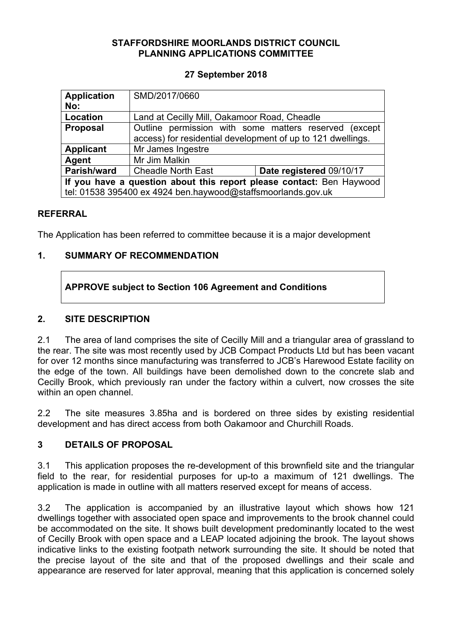### **STAFFORDSHIRE MOORLANDS DISTRICT COUNCIL PLANNING APPLICATIONS COMMITTEE**

### **27 September 2018**

| <b>Application</b>                                                   | SMD/2017/0660                                               |                                                       |
|----------------------------------------------------------------------|-------------------------------------------------------------|-------------------------------------------------------|
| No:                                                                  |                                                             |                                                       |
| Location                                                             | Land at Cecilly Mill, Oakamoor Road, Cheadle                |                                                       |
| <b>Proposal</b>                                                      |                                                             | Outline permission with some matters reserved (except |
|                                                                      | access) for residential development of up to 121 dwellings. |                                                       |
| <b>Applicant</b>                                                     | Mr James Ingestre                                           |                                                       |
| Agent                                                                | Mr Jim Malkin                                               |                                                       |
| Parish/ward                                                          | <b>Cheadle North East</b>                                   | Date registered 09/10/17                              |
| If you have a question about this report please contact: Ben Haywood |                                                             |                                                       |
| tel: 01538 395400 ex 4924 ben.haywood@staffsmoorlands.gov.uk         |                                                             |                                                       |

#### **REFERRAL**

The Application has been referred to committee because it is a major development

## **1. SUMMARY OF RECOMMENDATION**

# **APPROVE subject to Section 106 Agreement and Conditions**

### **2. SITE DESCRIPTION**

2.1 The area of land comprises the site of Cecilly Mill and a triangular area of grassland to the rear. The site was most recently used by JCB Compact Products Ltd but has been vacant for over 12 months since manufacturing was transferred to JCB's Harewood Estate facility on the edge of the town. All buildings have been demolished down to the concrete slab and Cecilly Brook, which previously ran under the factory within a culvert, now crosses the site within an open channel.

2.2 The site measures 3.85ha and is bordered on three sides by existing residential development and has direct access from both Oakamoor and Churchill Roads.

### **3 DETAILS OF PROPOSAL**

3.1 This application proposes the re-development of this brownfield site and the triangular field to the rear, for residential purposes for up-to a maximum of 121 dwellings. The application is made in outline with all matters reserved except for means of access.

3.2 The application is accompanied by an illustrative layout which shows how 121 dwellings together with associated open space and improvements to the brook channel could be accommodated on the site. It shows built development predominantly located to the west of Cecilly Brook with open space and a LEAP located adjoining the brook. The layout shows indicative links to the existing footpath network surrounding the site. It should be noted that the precise layout of the site and that of the proposed dwellings and their scale and appearance are reserved for later approval, meaning that this application is concerned solely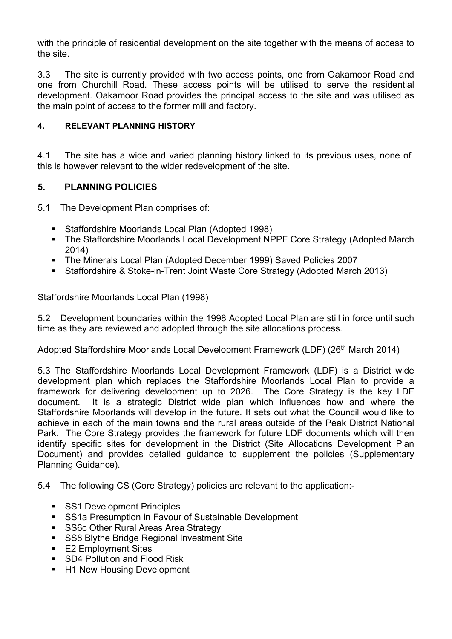with the principle of residential development on the site together with the means of access to the site.

3.3 The site is currently provided with two access points, one from Oakamoor Road and one from Churchill Road. These access points will be utilised to serve the residential development. Oakamoor Road provides the principal access to the site and was utilised as the main point of access to the former mill and factory.

### **4. RELEVANT PLANNING HISTORY**

4.1 The site has a wide and varied planning history linked to its previous uses, none of this is however relevant to the wider redevelopment of the site.

### **5. PLANNING POLICIES**

5.1 The Development Plan comprises of:

- Staffordshire Moorlands Local Plan (Adopted 1998)
- The Staffordshire Moorlands Local Development NPPF Core Strategy (Adopted March 2014)
- The Minerals Local Plan (Adopted December 1999) Saved Policies 2007
- Staffordshire & Stoke-in-Trent Joint Waste Core Strategy (Adopted March 2013)

### Staffordshire Moorlands Local Plan (1998)

5.2 Development boundaries within the 1998 Adopted Local Plan are still in force until such time as they are reviewed and adopted through the site allocations process.

### Adopted Staffordshire Moorlands Local Development Framework (LDF) (26<sup>th</sup> March 2014)

5.3 The Staffordshire Moorlands Local Development Framework (LDF) is a District wide development plan which replaces the Staffordshire Moorlands Local Plan to provide a framework for delivering development up to 2026. The Core Strategy is the key LDF document. It is a strategic District wide plan which influences how and where the Staffordshire Moorlands will develop in the future. It sets out what the Council would like to achieve in each of the main towns and the rural areas outside of the Peak District National Park. The Core Strategy provides the framework for future LDF documents which will then identify specific sites for development in the District (Site Allocations Development Plan Document) and provides detailed guidance to supplement the policies (Supplementary Planning Guidance).

5.4 The following CS (Core Strategy) policies are relevant to the application:-

- **SS1 Development Principles**
- SS1a Presumption in Favour of Sustainable Development
- **SS6c Other Rural Areas Area Strategy**
- **SS8 Blythe Bridge Regional Investment Site**
- E2 Employment Sites
- **SD4 Pollution and Flood Risk**
- H1 New Housing Development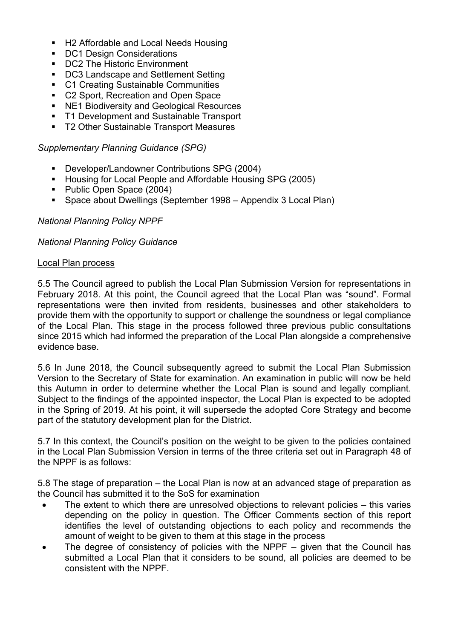- H2 Affordable and Local Needs Housing
- DC1 Design Considerations
- DC2 The Historic Environment
- **DC3 Landscape and Settlement Setting**
- C1 Creating Sustainable Communities
- **C2 Sport, Recreation and Open Space**
- NE1 Biodiversity and Geological Resources
- T1 Development and Sustainable Transport
- T2 Other Sustainable Transport Measures

*Supplementary Planning Guidance (SPG)*

- Developer/Landowner Contributions SPG (2004)
- **Housing for Local People and Affordable Housing SPG (2005)**
- Public Open Space (2004)
- Space about Dwellings (September 1998 Appendix 3 Local Plan)

#### *National Planning Policy NPPF*

*National Planning Policy Guidance*

#### Local Plan process

5.5 The Council agreed to publish the Local Plan Submission Version for representations in February 2018. At this point, the Council agreed that the Local Plan was "sound". Formal representations were then invited from residents, businesses and other stakeholders to provide them with the opportunity to support or challenge the soundness or legal compliance of the Local Plan. This stage in the process followed three previous public consultations since 2015 which had informed the preparation of the Local Plan alongside a comprehensive evidence base.

5.6 In June 2018, the Council subsequently agreed to submit the Local Plan Submission Version to the Secretary of State for examination. An examination in public will now be held this Autumn in order to determine whether the Local Plan is sound and legally compliant. Subject to the findings of the appointed inspector, the Local Plan is expected to be adopted in the Spring of 2019. At his point, it will supersede the adopted Core Strategy and become part of the statutory development plan for the District.

5.7 In this context, the Council's position on the weight to be given to the policies contained in the Local Plan Submission Version in terms of the three criteria set out in Paragraph 48 of the NPPF is as follows:

5.8 The stage of preparation – the Local Plan is now at an advanced stage of preparation as the Council has submitted it to the SoS for examination

- The extent to which there are unresolved objections to relevant policies this varies depending on the policy in question. The Officer Comments section of this report identifies the level of outstanding objections to each policy and recommends the amount of weight to be given to them at this stage in the process
- The degree of consistency of policies with the NPPF given that the Council has submitted a Local Plan that it considers to be sound, all policies are deemed to be consistent with the NPPF.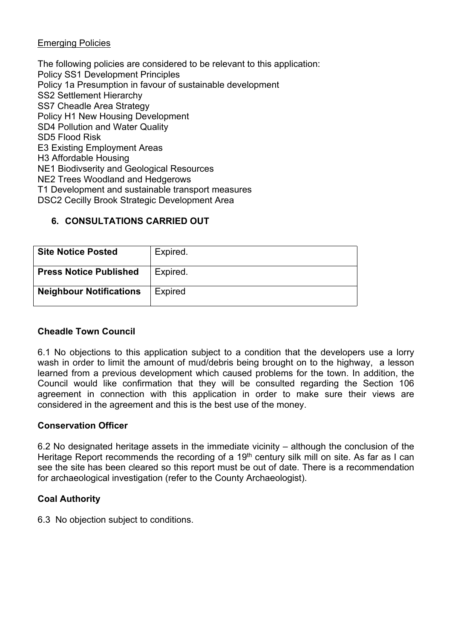### Emerging Policies

The following policies are considered to be relevant to this application: Policy SS1 Development Principles Policy 1a Presumption in favour of sustainable development SS2 Settlement Hierarchy SS7 Cheadle Area Strategy Policy H1 New Housing Development SD4 Pollution and Water Quality SD5 Flood Risk E3 Existing Employment Areas H3 Affordable Housing NE1 Biodivserity and Geological Resources NE2 Trees Woodland and Hedgerows T1 Development and sustainable transport measures DSC2 Cecilly Brook Strategic Development Area

# **6. CONSULTATIONS CARRIED OUT**

| <b>Site Notice Posted</b>      | Expired.       |
|--------------------------------|----------------|
| <b>Press Notice Published</b>  | Expired.       |
| <b>Neighbour Notifications</b> | <b>Expired</b> |

### **Cheadle Town Council**

6.1 No objections to this application subject to a condition that the developers use a lorry wash in order to limit the amount of mud/debris being brought on to the highway, a lesson learned from a previous development which caused problems for the town. In addition, the Council would like confirmation that they will be consulted regarding the Section 106 agreement in connection with this application in order to make sure their views are considered in the agreement and this is the best use of the money.

### **Conservation Officer**

6.2 No designated heritage assets in the immediate vicinity – although the conclusion of the Heritage Report recommends the recording of a 19<sup>th</sup> century silk mill on site. As far as I can see the site has been cleared so this report must be out of date. There is a recommendation for archaeological investigation (refer to the County Archaeologist).

### **Coal Authority**

6.3 No objection subject to conditions.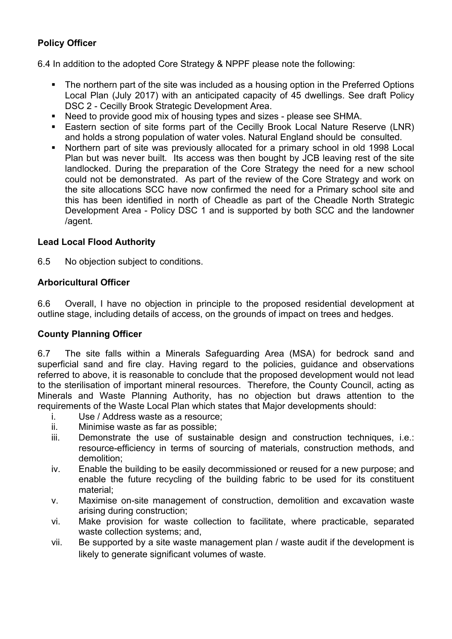# **Policy Officer**

6.4 In addition to the adopted Core Strategy & NPPF please note the following:

- The northern part of the site was included as a housing option in the Preferred Options Local Plan (July 2017) with an anticipated capacity of 45 dwellings. See draft Policy DSC 2 - Cecilly Brook Strategic Development Area.
- Need to provide good mix of housing types and sizes please see SHMA.
- Eastern section of site forms part of the Cecilly Brook Local Nature Reserve (LNR) and holds a strong population of water voles. Natural England should be consulted.
- Northern part of site was previously allocated for a primary school in old 1998 Local Plan but was never built. Its access was then bought by JCB leaving rest of the site landlocked. During the preparation of the Core Strategy the need for a new school could not be demonstrated. As part of the review of the Core Strategy and work on the site allocations SCC have now confirmed the need for a Primary school site and this has been identified in north of Cheadle as part of the Cheadle North Strategic Development Area - Policy DSC 1 and is supported by both SCC and the landowner /agent.

### **Lead Local Flood Authority**

6.5 No objection subject to conditions.

### **Arboricultural Officer**

6.6 Overall, I have no objection in principle to the proposed residential development at outline stage, including details of access, on the grounds of impact on trees and hedges.

### **County Planning Officer**

6.7 The site falls within a Minerals Safeguarding Area (MSA) for bedrock sand and superficial sand and fire clay. Having regard to the policies, guidance and observations referred to above, it is reasonable to conclude that the proposed development would not lead to the sterilisation of important mineral resources. Therefore, the County Council, acting as Minerals and Waste Planning Authority, has no objection but draws attention to the requirements of the Waste Local Plan which states that Major developments should:

- i. Use / Address waste as a resource;
- ii. Minimise waste as far as possible;
- iii. Demonstrate the use of sustainable design and construction techniques, i.e.: resource-efficiency in terms of sourcing of materials, construction methods, and demolition;
- iv. Enable the building to be easily decommissioned or reused for a new purpose; and enable the future recycling of the building fabric to be used for its constituent material;
- v. Maximise on-site management of construction, demolition and excavation waste arising during construction;
- vi. Make provision for waste collection to facilitate, where practicable, separated waste collection systems; and,
- vii. Be supported by a site waste management plan / waste audit if the development is likely to generate significant volumes of waste.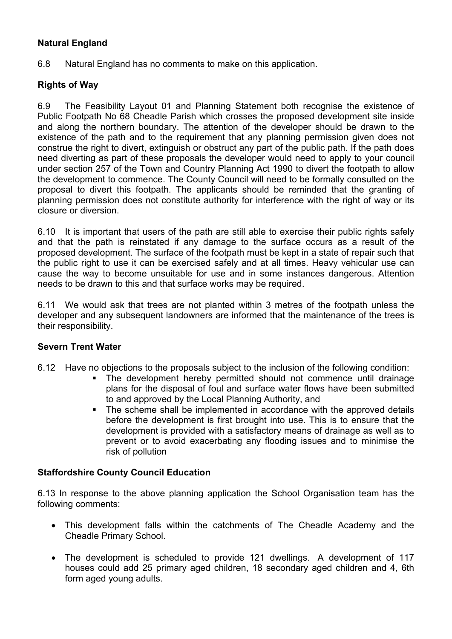# **Natural England**

6.8 Natural England has no comments to make on this application.

### **Rights of Way**

6.9 The Feasibility Layout 01 and Planning Statement both recognise the existence of Public Footpath No 68 Cheadle Parish which crosses the proposed development site inside and along the northern boundary. The attention of the developer should be drawn to the existence of the path and to the requirement that any planning permission given does not construe the right to divert, extinguish or obstruct any part of the public path. If the path does need diverting as part of these proposals the developer would need to apply to your council under section 257 of the Town and Country Planning Act 1990 to divert the footpath to allow the development to commence. The County Council will need to be formally consulted on the proposal to divert this footpath. The applicants should be reminded that the granting of planning permission does not constitute authority for interference with the right of way or its closure or diversion.

6.10 It is important that users of the path are still able to exercise their public rights safely and that the path is reinstated if any damage to the surface occurs as a result of the proposed development. The surface of the footpath must be kept in a state of repair such that the public right to use it can be exercised safely and at all times. Heavy vehicular use can cause the way to become unsuitable for use and in some instances dangerous. Attention needs to be drawn to this and that surface works may be required.

6.11 We would ask that trees are not planted within 3 metres of the footpath unless the developer and any subsequent landowners are informed that the maintenance of the trees is their responsibility.

### **Severn Trent Water**

- 6.12 Have no objections to the proposals subject to the inclusion of the following condition:
	- The development hereby permitted should not commence until drainage plans for the disposal of foul and surface water flows have been submitted to and approved by the Local Planning Authority, and
	- The scheme shall be implemented in accordance with the approved details before the development is first brought into use. This is to ensure that the development is provided with a satisfactory means of drainage as well as to prevent or to avoid exacerbating any flooding issues and to minimise the risk of pollution

### **Staffordshire County Council Education**

6.13 In response to the above planning application the School Organisation team has the following comments:

- This development falls within the catchments of The Cheadle Academy and the Cheadle Primary School.
- The development is scheduled to provide 121 dwellings. A development of 117 houses could add 25 primary aged children, 18 secondary aged children and 4, 6th form aged young adults.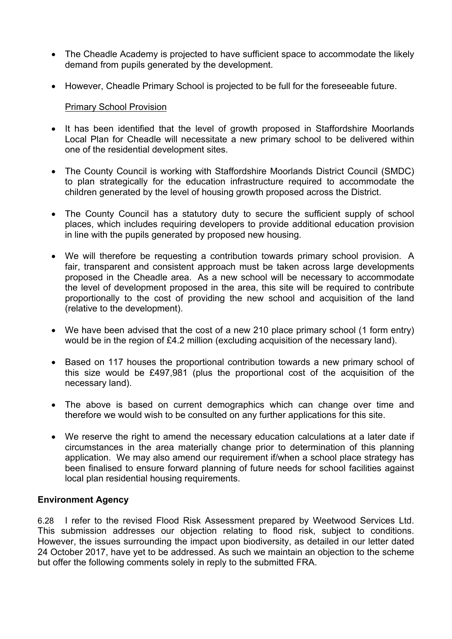- The Cheadle Academy is projected to have sufficient space to accommodate the likely demand from pupils generated by the development.
- However, Cheadle Primary School is projected to be full for the foreseeable future.

#### Primary School Provision

- It has been identified that the level of growth proposed in Staffordshire Moorlands Local Plan for Cheadle will necessitate a new primary school to be delivered within one of the residential development sites.
- The County Council is working with Staffordshire Moorlands District Council (SMDC) to plan strategically for the education infrastructure required to accommodate the children generated by the level of housing growth proposed across the District.
- The County Council has a statutory duty to secure the sufficient supply of school places, which includes requiring developers to provide additional education provision in line with the pupils generated by proposed new housing.
- We will therefore be requesting a contribution towards primary school provision. A fair, transparent and consistent approach must be taken across large developments proposed in the Cheadle area. As a new school will be necessary to accommodate the level of development proposed in the area, this site will be required to contribute proportionally to the cost of providing the new school and acquisition of the land (relative to the development).
- We have been advised that the cost of a new 210 place primary school (1 form entry) would be in the region of £4.2 million (excluding acquisition of the necessary land).
- Based on 117 houses the proportional contribution towards a new primary school of this size would be £497,981 (plus the proportional cost of the acquisition of the necessary land).
- The above is based on current demographics which can change over time and therefore we would wish to be consulted on any further applications for this site.
- We reserve the right to amend the necessary education calculations at a later date if circumstances in the area materially change prior to determination of this planning application. We may also amend our requirement if/when a school place strategy has been finalised to ensure forward planning of future needs for school facilities against local plan residential housing requirements.

#### **Environment Agency**

6.28 I refer to the revised Flood Risk Assessment prepared by Weetwood Services Ltd. This submission addresses our objection relating to flood risk, subject to conditions. However, the issues surrounding the impact upon biodiversity, as detailed in our letter dated 24 October 2017, have yet to be addressed. As such we maintain an objection to the scheme but offer the following comments solely in reply to the submitted FRA.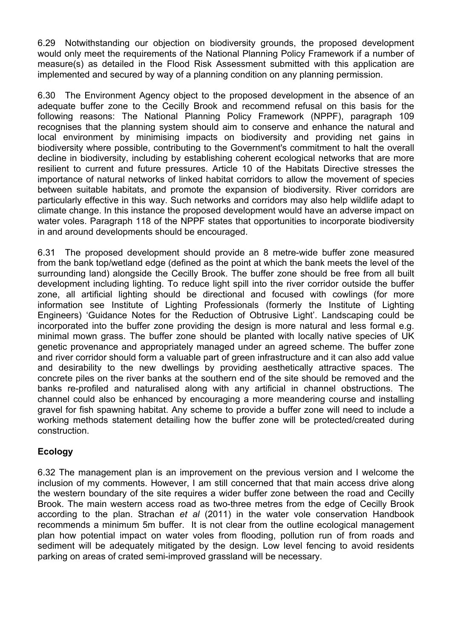6.29 Notwithstanding our objection on biodiversity grounds, the proposed development would only meet the requirements of the National Planning Policy Framework if a number of measure(s) as detailed in the Flood Risk Assessment submitted with this application are implemented and secured by way of a planning condition on any planning permission.

6.30 The Environment Agency object to the proposed development in the absence of an adequate buffer zone to the Cecilly Brook and recommend refusal on this basis for the following reasons: The National Planning Policy Framework (NPPF), paragraph 109 recognises that the planning system should aim to conserve and enhance the natural and local environment by minimising impacts on biodiversity and providing net gains in biodiversity where possible, contributing to the Government's commitment to halt the overall decline in biodiversity, including by establishing coherent ecological networks that are more resilient to current and future pressures. Article 10 of the Habitats Directive stresses the importance of natural networks of linked habitat corridors to allow the movement of species between suitable habitats, and promote the expansion of biodiversity. River corridors are particularly effective in this way. Such networks and corridors may also help wildlife adapt to climate change. In this instance the proposed development would have an adverse impact on water voles. Paragraph 118 of the NPPF states that opportunities to incorporate biodiversity in and around developments should be encouraged.

6.31 The proposed development should provide an 8 metre-wide buffer zone measured from the bank top/wetland edge (defined as the point at which the bank meets the level of the surrounding land) alongside the Cecilly Brook. The buffer zone should be free from all built development including lighting. To reduce light spill into the river corridor outside the buffer zone, all artificial lighting should be directional and focused with cowlings (for more information see Institute of Lighting Professionals (formerly the Institute of Lighting Engineers) 'Guidance Notes for the Reduction of Obtrusive Light'. Landscaping could be incorporated into the buffer zone providing the design is more natural and less formal e.g. minimal mown grass. The buffer zone should be planted with locally native species of UK genetic provenance and appropriately managed under an agreed scheme. The buffer zone and river corridor should form a valuable part of green infrastructure and it can also add value and desirability to the new dwellings by providing aesthetically attractive spaces. The concrete piles on the river banks at the southern end of the site should be removed and the banks re-profiled and naturalised along with any artificial in channel obstructions. The channel could also be enhanced by encouraging a more meandering course and installing gravel for fish spawning habitat. Any scheme to provide a buffer zone will need to include a working methods statement detailing how the buffer zone will be protected/created during construction.

# **Ecology**

6.32 The management plan is an improvement on the previous version and I welcome the inclusion of my comments. However, I am still concerned that that main access drive along the western boundary of the site requires a wider buffer zone between the road and Cecilly Brook. The main western access road as two-three metres from the edge of Cecilly Brook according to the plan. Strachan *et al* (2011) in the water vole conservation Handbook recommends a minimum 5m buffer. It is not clear from the outline ecological management plan how potential impact on water voles from flooding, pollution run of from roads and sediment will be adequately mitigated by the design. Low level fencing to avoid residents parking on areas of crated semi-improved grassland will be necessary.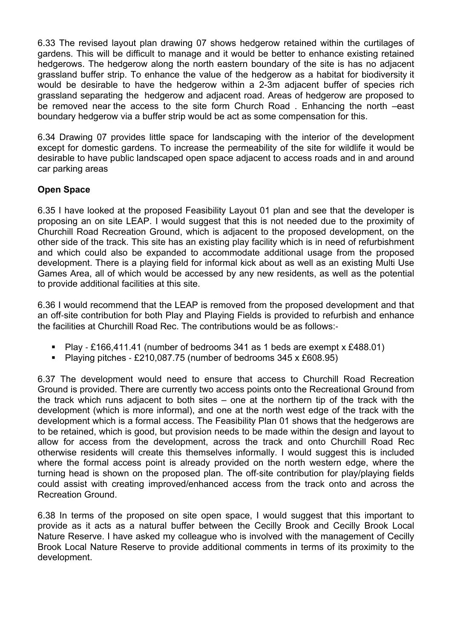6.33 The revised layout plan drawing 07 shows hedgerow retained within the curtilages of gardens. This will be difficult to manage and it would be better to enhance existing retained hedgerows. The hedgerow along the north eastern boundary of the site is has no adjacent grassland buffer strip. To enhance the value of the hedgerow as a habitat for biodiversity it would be desirable to have the hedgerow within a 2-3m adjacent buffer of species rich grassland separating the hedgerow and adjacent road. Areas of hedgerow are proposed to be removed near the access to the site form Church Road . Enhancing the north –east boundary hedgerow via a buffer strip would be act as some compensation for this.

6.34 Drawing 07 provides little space for landscaping with the interior of the development except for domestic gardens. To increase the permeability of the site for wildlife it would be desirable to have public landscaped open space adjacent to access roads and in and around car parking areas

# **Open Space**

6.35 I have looked at the proposed Feasibility Layout 01 plan and see that the developer is proposing an on site LEAP. I would suggest that this is not needed due to the proximity of Churchill Road Recreation Ground, which is adjacent to the proposed development, on the other side of the track. This site has an existing play facility which is in need of refurbishment and which could also be expanded to accommodate additional usage from the proposed development. There is a playing field for informal kick about as well as an existing Multi Use Games Area, all of which would be accessed by any new residents, as well as the potential to provide additional facilities at this site.

6.36 I would recommend that the LEAP is removed from the proposed development and that an off-site contribution for both Play and Playing Fields is provided to refurbish and enhance the facilities at Churchill Road Rec. The contributions would be as follows:‐

- Play ‐ £166,411.41 (number of bedrooms 341 as 1 beds are exempt x £488.01)
- Playing pitches £210,087.75 (number of bedrooms 345 x £608.95)

6.37 The development would need to ensure that access to Churchill Road Recreation Ground is provided. There are currently two access points onto the Recreational Ground from the track which runs adjacent to both sites – one at the northern tip of the track with the development (which is more informal), and one at the north west edge of the track with the development which is a formal access. The Feasibility Plan 01 shows that the hedgerows are to be retained, which is good, but provision needs to be made within the design and layout to allow for access from the development, across the track and onto Churchill Road Rec otherwise residents will create this themselves informally. I would suggest this is included where the formal access point is already provided on the north western edge, where the turning head is shown on the proposed plan. The off‐site contribution for play/playing fields could assist with creating improved/enhanced access from the track onto and across the Recreation Ground.

6.38 In terms of the proposed on site open space, I would suggest that this important to provide as it acts as a natural buffer between the Cecilly Brook and Cecilly Brook Local Nature Reserve. I have asked my colleague who is involved with the management of Cecilly Brook Local Nature Reserve to provide additional comments in terms of its proximity to the development.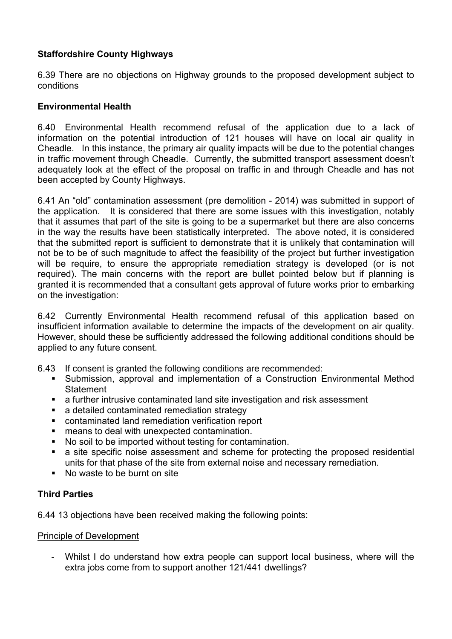### **Staffordshire County Highways**

6.39 There are no objections on Highway grounds to the proposed development subject to conditions

### **Environmental Health**

6.40 Environmental Health recommend refusal of the application due to a lack of information on the potential introduction of 121 houses will have on local air quality in Cheadle. In this instance, the primary air quality impacts will be due to the potential changes in traffic movement through Cheadle. Currently, the submitted transport assessment doesn't adequately look at the effect of the proposal on traffic in and through Cheadle and has not been accepted by County Highways.

6.41 An "old" contamination assessment (pre demolition - 2014) was submitted in support of the application. It is considered that there are some issues with this investigation, notably that it assumes that part of the site is going to be a supermarket but there are also concerns in the way the results have been statistically interpreted. The above noted, it is considered that the submitted report is sufficient to demonstrate that it is unlikely that contamination will not be to be of such magnitude to affect the feasibility of the project but further investigation will be require, to ensure the appropriate remediation strategy is developed (or is not required). The main concerns with the report are bullet pointed below but if planning is granted it is recommended that a consultant gets approval of future works prior to embarking on the investigation:

6.42 Currently Environmental Health recommend refusal of this application based on insufficient information available to determine the impacts of the development on air quality. However, should these be sufficiently addressed the following additional conditions should be applied to any future consent.

- 6.43 If consent is granted the following conditions are recommended:
	- Submission, approval and implementation of a Construction Environmental Method **Statement**
	- a further intrusive contaminated land site investigation and risk assessment
	- a detailed contaminated remediation strategy
	- contaminated land remediation verification report
	- means to deal with unexpected contamination.
	- No soil to be imported without testing for contamination.
	- a site specific noise assessment and scheme for protecting the proposed residential units for that phase of the site from external noise and necessary remediation.
	- No waste to be burnt on site

### **Third Parties**

6.44 13 objections have been received making the following points:

#### Principle of Development

Whilst I do understand how extra people can support local business, where will the extra jobs come from to support another 121/441 dwellings?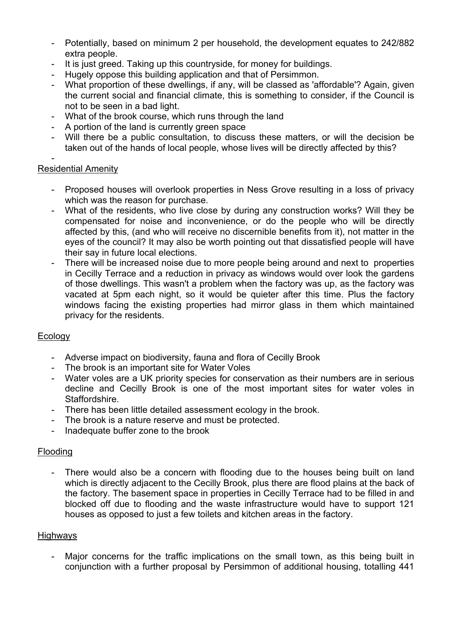- Potentially, based on minimum 2 per household, the development equates to 242/882 extra people.
- It is just greed. Taking up this countryside, for money for buildings.
- Hugely oppose this building application and that of Persimmon.
- What proportion of these dwellings, if any, will be classed as 'affordable'? Again, given the current social and financial climate, this is something to consider, if the Council is not to be seen in a bad light.
- What of the brook course, which runs through the land
- A portion of the land is currently green space
- Will there be a public consultation, to discuss these matters, or will the decision be taken out of the hands of local people, whose lives will be directly affected by this?

#### - Residential Amenity

- Proposed houses will overlook properties in Ness Grove resulting in a loss of privacy which was the reason for purchase.
- What of the residents, who live close by during any construction works? Will they be compensated for noise and inconvenience, or do the people who will be directly affected by this, (and who will receive no discernible benefits from it), not matter in the eyes of the council? It may also be worth pointing out that dissatisfied people will have their say in future local elections.
- There will be increased noise due to more people being around and next to properties in Cecilly Terrace and a reduction in privacy as windows would over look the gardens of those dwellings. This wasn't a problem when the factory was up, as the factory was vacated at 5pm each night, so it would be quieter after this time. Plus the factory windows facing the existing properties had mirror glass in them which maintained privacy for the residents.

#### Ecology

- Adverse impact on biodiversity, fauna and flora of Cecilly Brook
- The brook is an important site for Water Voles
- Water voles are a UK priority species for conservation as their numbers are in serious decline and Cecilly Brook is one of the most important sites for water voles in Staffordshire.
- There has been little detailed assessment ecology in the brook.
- The brook is a nature reserve and must be protected.
- Inadequate buffer zone to the brook

#### Flooding

There would also be a concern with flooding due to the houses being built on land which is directly adjacent to the Cecilly Brook, plus there are flood plains at the back of the factory. The basement space in properties in Cecilly Terrace had to be filled in and blocked off due to flooding and the waste infrastructure would have to support 121 houses as opposed to just a few toilets and kitchen areas in the factory.

#### **Highways**

Major concerns for the traffic implications on the small town, as this being built in conjunction with a further proposal by Persimmon of additional housing, totalling 441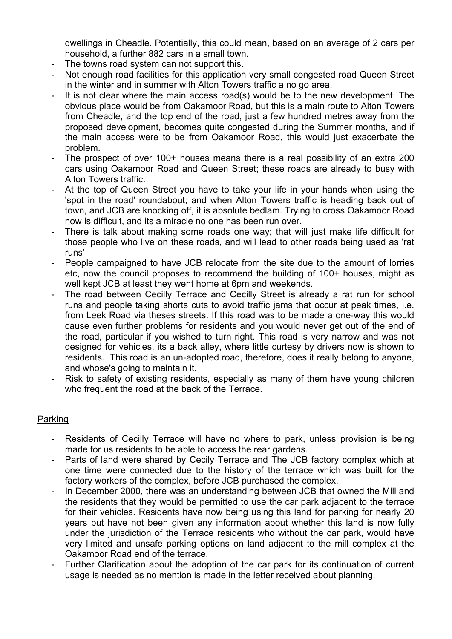dwellings in Cheadle. Potentially, this could mean, based on an average of 2 cars per household, a further 882 cars in a small town.

- The towns road system can not support this.
- Not enough road facilities for this application very small congested road Queen Street in the winter and in summer with Alton Towers traffic a no go area.
- It is not clear where the main access road(s) would be to the new development. The obvious place would be from Oakamoor Road, but this is a main route to Alton Towers from Cheadle, and the top end of the road, just a few hundred metres away from the proposed development, becomes quite congested during the Summer months, and if the main access were to be from Oakamoor Road, this would just exacerbate the problem.
- The prospect of over 100+ houses means there is a real possibility of an extra 200 cars using Oakamoor Road and Queen Street; these roads are already to busy with Alton Towers traffic.
- At the top of Queen Street you have to take your life in your hands when using the 'spot in the road' roundabout; and when Alton Towers traffic is heading back out of town, and JCB are knocking off, it is absolute bedlam. Trying to cross Oakamoor Road now is difficult, and its a miracle no one has been run over.
- There is talk about making some roads one way; that will just make life difficult for those people who live on these roads, and will lead to other roads being used as 'rat runs'
- People campaigned to have JCB relocate from the site due to the amount of lorries etc, now the council proposes to recommend the building of 100+ houses, might as well kept JCB at least they went home at 6pm and weekends.
- The road between Cecilly Terrace and Cecilly Street is already a rat run for school runs and people taking shorts cuts to avoid traffic jams that occur at peak times, i.e. from Leek Road via theses streets. If this road was to be made a one‐way this would cause even further problems for residents and you would never get out of the end of the road, particular if you wished to turn right. This road is very narrow and was not designed for vehicles, its a back alley, where little curtesy by drivers now is shown to residents. This road is an un‐adopted road, therefore, does it really belong to anyone, and whose's going to maintain it.
- Risk to safety of existing residents, especially as many of them have young children who frequent the road at the back of the Terrace.

#### Parking

- Residents of Cecilly Terrace will have no where to park, unless provision is being made for us residents to be able to access the rear gardens.
- Parts of land were shared by Cecily Terrace and The JCB factory complex which at one time were connected due to the history of the terrace which was built for the factory workers of the complex, before JCB purchased the complex.
- In December 2000, there was an understanding between JCB that owned the Mill and the residents that they would be permitted to use the car park adjacent to the terrace for their vehicles. Residents have now being using this land for parking for nearly 20 years but have not been given any information about whether this land is now fully under the jurisdiction of the Terrace residents who without the car park, would have very limited and unsafe parking options on land adjacent to the mill complex at the Oakamoor Road end of the terrace.
- Further Clarification about the adoption of the car park for its continuation of current usage is needed as no mention is made in the letter received about planning.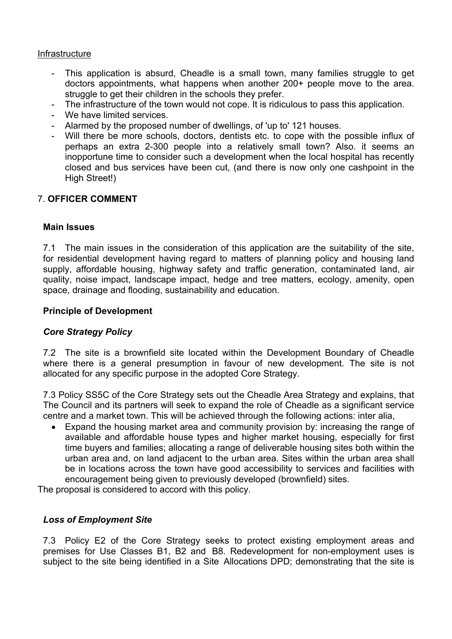#### Infrastructure

- This application is absurd, Cheadle is a small town, many families struggle to get doctors appointments, what happens when another 200+ people move to the area. struggle to get their children in the schools they prefer.
- The infrastructure of the town would not cope. It is ridiculous to pass this application.
- We have limited services.
- Alarmed by the proposed number of dwellings, of 'up to' 121 houses.
- Will there be more schools, doctors, dentists etc. to cope with the possible influx of perhaps an extra 2-300 people into a relatively small town? Also. it seems an inopportune time to consider such a development when the local hospital has recently closed and bus services have been cut, (and there is now only one cashpoint in the High Street!)

### 7. **OFFICER COMMENT**

#### **Main Issues**

7.1 The main issues in the consideration of this application are the suitability of the site, for residential development having regard to matters of planning policy and housing land supply, affordable housing, highway safety and traffic generation, contaminated land, air quality, noise impact, landscape impact, hedge and tree matters, ecology, amenity, open space, drainage and flooding, sustainability and education.

#### **Principle of Development**

#### *Core Strategy Policy*

7.2 The site is a brownfield site located within the Development Boundary of Cheadle where there is a general presumption in favour of new development. The site is not allocated for any specific purpose in the adopted Core Strategy.

7.3 Policy SS5C of the Core Strategy sets out the Cheadle Area Strategy and explains, that The Council and its partners will seek to expand the role of Cheadle as a significant service centre and a market town. This will be achieved through the following actions: inter alia,

 Expand the housing market area and community provision by: increasing the range of available and affordable house types and higher market housing, especially for first time buyers and families; allocating a range of deliverable housing sites both within the urban area and, on land adjacent to the urban area. Sites within the urban area shall be in locations across the town have good accessibility to services and facilities with encouragement being given to previously developed (brownfield) sites.

The proposal is considered to accord with this policy.

#### *Loss of Employment Site*

7.3 Policy E2 of the Core Strategy seeks to protect existing employment areas and premises for Use Classes B1, B2 and B8. Redevelopment for non-employment uses is subject to the site being identified in a Site Allocations DPD; demonstrating that the site is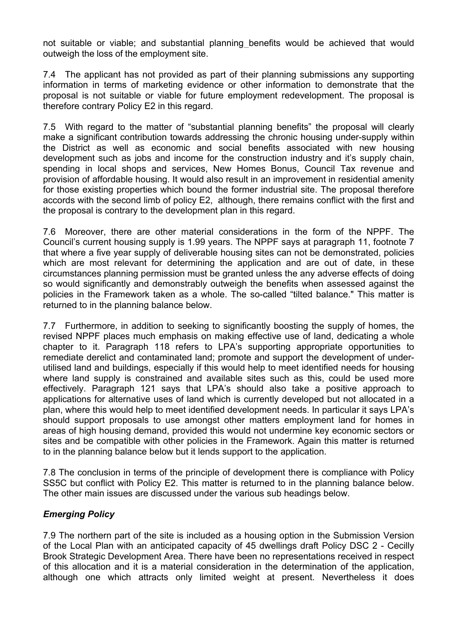not suitable or viable; and substantial planning benefits would be achieved that would outweigh the loss of the employment site.

7.4 The applicant has not provided as part of their planning submissions any supporting information in terms of marketing evidence or other information to demonstrate that the proposal is not suitable or viable for future employment redevelopment. The proposal is therefore contrary Policy E2 in this regard.

7.5 With regard to the matter of "substantial planning benefits" the proposal will clearly make a significant contribution towards addressing the chronic housing under-supply within the District as well as economic and social benefits associated with new housing development such as jobs and income for the construction industry and it's supply chain, spending in local shops and services, New Homes Bonus, Council Tax revenue and provision of affordable housing. It would also result in an improvement in residential amenity for those existing properties which bound the former industrial site. The proposal therefore accords with the second limb of policy E2, although, there remains conflict with the first and the proposal is contrary to the development plan in this regard.

7.6 Moreover, there are other material considerations in the form of the NPPF. The Council's current housing supply is 1.99 years. The NPPF says at paragraph 11, footnote 7 that where a five year supply of deliverable housing sites can not be demonstrated, policies which are most relevant for determining the application and are out of date, in these circumstances planning permission must be granted unless the any adverse effects of doing so would significantly and demonstrably outweigh the benefits when assessed against the policies in the Framework taken as a whole. The so-called "tilted balance." This matter is returned to in the planning balance below.

7.7 Furthermore, in addition to seeking to significantly boosting the supply of homes, the revised NPPF places much emphasis on making effective use of land, dedicating a whole chapter to it. Paragraph 118 refers to LPA's supporting appropriate opportunities to remediate derelict and contaminated land; promote and support the development of underutilised land and buildings, especially if this would help to meet identified needs for housing where land supply is constrained and available sites such as this, could be used more effectively. Paragraph 121 says that LPA's should also take a positive approach to applications for alternative uses of land which is currently developed but not allocated in a plan, where this would help to meet identified development needs. In particular it says LPA's should support proposals to use amongst other matters employment land for homes in areas of high housing demand, provided this would not undermine key economic sectors or sites and be compatible with other policies in the Framework. Again this matter is returned to in the planning balance below but it lends support to the application.

7.8 The conclusion in terms of the principle of development there is compliance with Policy SS5C but conflict with Policy E2. This matter is returned to in the planning balance below. The other main issues are discussed under the various sub headings below.

### *Emerging Policy*

7.9 The northern part of the site is included as a housing option in the Submission Version of the Local Plan with an anticipated capacity of 45 dwellings draft Policy DSC 2 - Cecilly Brook Strategic Development Area. There have been no representations received in respect of this allocation and it is a material consideration in the determination of the application, although one which attracts only limited weight at present. Nevertheless it does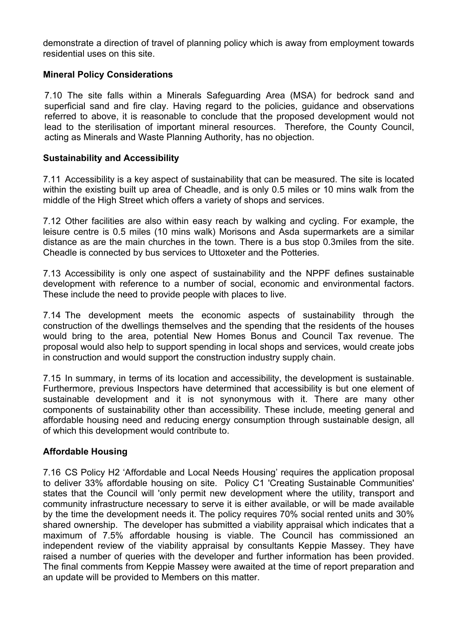demonstrate a direction of travel of planning policy which is away from employment towards residential uses on this site.

### **Mineral Policy Considerations**

7.10 The site falls within a Minerals Safeguarding Area (MSA) for bedrock sand and superficial sand and fire clay. Having regard to the policies, guidance and observations referred to above, it is reasonable to conclude that the proposed development would not lead to the sterilisation of important mineral resources. Therefore, the County Council, acting as Minerals and Waste Planning Authority, has no objection.

#### **Sustainability and Accessibility**

7.11 Accessibility is a key aspect of sustainability that can be measured. The site is located within the existing built up area of Cheadle, and is only 0.5 miles or 10 mins walk from the middle of the High Street which offers a variety of shops and services.

7.12 Other facilities are also within easy reach by walking and cycling. For example, the leisure centre is 0.5 miles (10 mins walk) Morisons and Asda supermarkets are a similar distance as are the main churches in the town. There is a bus stop 0.3miles from the site. Cheadle is connected by bus services to Uttoxeter and the Potteries.

7.13 Accessibility is only one aspect of sustainability and the NPPF defines sustainable development with reference to a number of social, economic and environmental factors. These include the need to provide people with places to live.

7.14 The development meets the economic aspects of sustainability through the construction of the dwellings themselves and the spending that the residents of the houses would bring to the area, potential New Homes Bonus and Council Tax revenue. The proposal would also help to support spending in local shops and services, would create jobs in construction and would support the construction industry supply chain.

7.15 In summary, in terms of its location and accessibility, the development is sustainable. Furthermore, previous Inspectors have determined that accessibility is but one element of sustainable development and it is not synonymous with it. There are many other components of sustainability other than accessibility. These include, meeting general and affordable housing need and reducing energy consumption through sustainable design, all of which this development would contribute to.

#### **Affordable Housing**

7.16 CS Policy H2 'Affordable and Local Needs Housing' requires the application proposal to deliver 33% affordable housing on site. Policy C1 'Creating Sustainable Communities' states that the Council will 'only permit new development where the utility, transport and community infrastructure necessary to serve it is either available, or will be made available by the time the development needs it. The policy requires 70% social rented units and 30% shared ownership. The developer has submitted a viability appraisal which indicates that a maximum of 7.5% affordable housing is viable. The Council has commissioned an independent review of the viability appraisal by consultants Keppie Massey. They have raised a number of queries with the developer and further information has been provided. The final comments from Keppie Massey were awaited at the time of report preparation and an update will be provided to Members on this matter.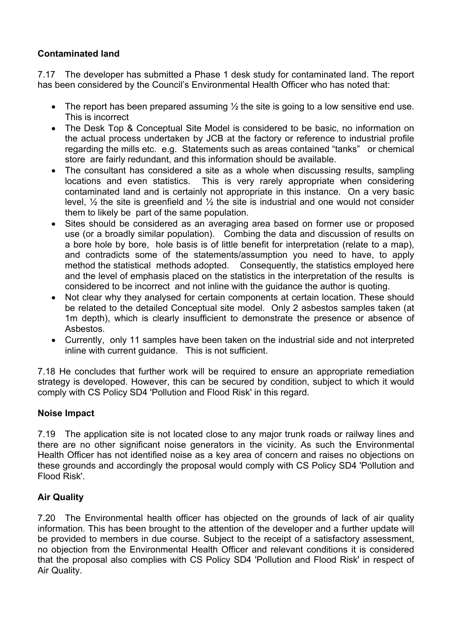# **Contaminated land**

7.17 The developer has submitted a Phase 1 desk study for contaminated land. The report has been considered by the Council's Environmental Health Officer who has noted that:

- The report has been prepared assuming  $\frac{1}{2}$  the site is going to a low sensitive end use. This is incorrect
- The Desk Top & Conceptual Site Model is considered to be basic, no information on the actual process undertaken by JCB at the factory or reference to industrial profile regarding the mills etc. e.g. Statements such as areas contained "tanks" or chemical store are fairly redundant, and this information should be available.
- The consultant has considered a site as a whole when discussing results, sampling locations and even statistics. This is very rarely appropriate when considering contaminated land and is certainly not appropriate in this instance. On a very basic level,  $\frac{1}{2}$  the site is greenfield and  $\frac{1}{2}$  the site is industrial and one would not consider them to likely be part of the same population.
- Sites should be considered as an averaging area based on former use or proposed use (or a broadly similar population). Combing the data and discussion of results on a bore hole by bore, hole basis is of little benefit for interpretation (relate to a map), and contradicts some of the statements/assumption you need to have, to apply method the statistical methods adopted. Consequently, the statistics employed here and the level of emphasis placed on the statistics in the interpretation of the results is considered to be incorrect and not inline with the guidance the author is quoting.
- Not clear why they analysed for certain components at certain location. These should be related to the detailed Conceptual site model. Only 2 asbestos samples taken (at 1m depth), which is clearly insufficient to demonstrate the presence or absence of Asbestos.
- Currently, only 11 samples have been taken on the industrial side and not interpreted inline with current guidance. This is not sufficient.

7.18 He concludes that further work will be required to ensure an appropriate remediation strategy is developed. However, this can be secured by condition, subject to which it would comply with CS Policy SD4 'Pollution and Flood Risk' in this regard.

### **Noise Impact**

7.19 The application site is not located close to any major trunk roads or railway lines and there are no other significant noise generators in the vicinity. As such the Environmental Health Officer has not identified noise as a key area of concern and raises no objections on these grounds and accordingly the proposal would comply with CS Policy SD4 'Pollution and Flood Risk'.

# **Air Quality**

7.20 The Environmental health officer has objected on the grounds of lack of air quality information. This has been brought to the attention of the developer and a further update will be provided to members in due course. Subject to the receipt of a satisfactory assessment, no objection from the Environmental Health Officer and relevant conditions it is considered that the proposal also complies with CS Policy SD4 'Pollution and Flood Risk' in respect of Air Quality.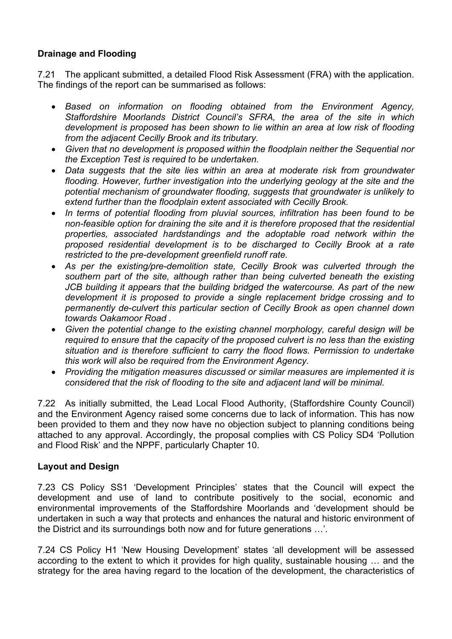### **Drainage and Flooding**

7.21 The applicant submitted, a detailed Flood Risk Assessment (FRA) with the application. The findings of the report can be summarised as follows:

- *Based on information on flooding obtained from the Environment Agency, Staffordshire Moorlands District Council's SFRA, the area of the site in which development is proposed has been shown to lie within an area at low risk of flooding from the adjacent Cecilly Brook and its tributary.*
- *Given that no development is proposed within the floodplain neither the Sequential nor the Exception Test is required to be undertaken.*
- *Data suggests that the site lies within an area at moderate risk from groundwater flooding. However, further investigation into the underlying geology at the site and the potential mechanism of groundwater flooding, suggests that groundwater is unlikely to extend further than the floodplain extent associated with Cecilly Brook.*
- *In terms of potential flooding from pluvial sources, infiltration has been found to be non-feasible option for draining the site and it is therefore proposed that the residential properties, associated hardstandings and the adoptable road network within the proposed residential development is to be discharged to Cecilly Brook at a rate restricted to the pre-development greenfield runoff rate.*
- *As per the existing/pre-demolition state, Cecilly Brook was culverted through the southern part of the site, although rather than being culverted beneath the existing JCB building it appears that the building bridged the watercourse. As part of the new development it is proposed to provide a single replacement bridge crossing and to permanently de-culvert this particular section of Cecilly Brook as open channel down towards Oakamoor Road .*
- *Given the potential change to the existing channel morphology, careful design will be required to ensure that the capacity of the proposed culvert is no less than the existing situation and is therefore sufficient to carry the flood flows. Permission to undertake this work will also be required from the Environment Agency.*
- *Providing the mitigation measures discussed or similar measures are implemented it is considered that the risk of flooding to the site and adjacent land will be minimal.*

7.22 As initially submitted, the Lead Local Flood Authority, (Staffordshire County Council) and the Environment Agency raised some concerns due to lack of information. This has now been provided to them and they now have no objection subject to planning conditions being attached to any approval. Accordingly, the proposal complies with CS Policy SD4 'Pollution and Flood Risk' and the NPPF, particularly Chapter 10.

### **Layout and Design**

7.23 CS Policy SS1 'Development Principles' states that the Council will expect the development and use of land to contribute positively to the social, economic and environmental improvements of the Staffordshire Moorlands and 'development should be undertaken in such a way that protects and enhances the natural and historic environment of the District and its surroundings both now and for future generations …'.

7.24 CS Policy H1 'New Housing Development' states 'all development will be assessed according to the extent to which it provides for high quality, sustainable housing … and the strategy for the area having regard to the location of the development, the characteristics of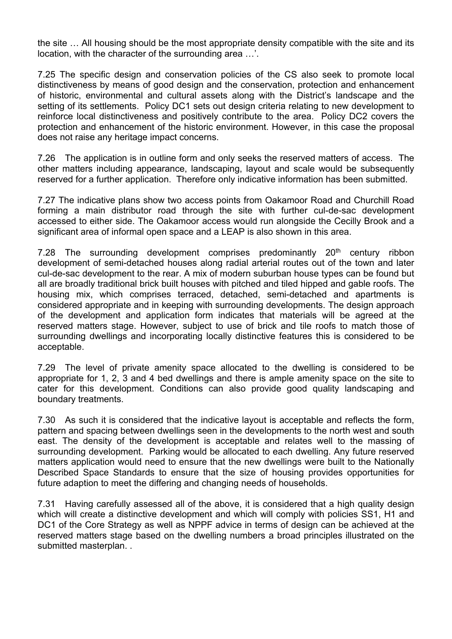the site … All housing should be the most appropriate density compatible with the site and its location, with the character of the surrounding area …'.

7.25 The specific design and conservation policies of the CS also seek to promote local distinctiveness by means of good design and the conservation, protection and enhancement of historic, environmental and cultural assets along with the District's landscape and the setting of its settlements. Policy DC1 sets out design criteria relating to new development to reinforce local distinctiveness and positively contribute to the area. Policy DC2 covers the protection and enhancement of the historic environment. However, in this case the proposal does not raise any heritage impact concerns.

7.26 The application is in outline form and only seeks the reserved matters of access. The other matters including appearance, landscaping, layout and scale would be subsequently reserved for a further application. Therefore only indicative information has been submitted.

7.27 The indicative plans show two access points from Oakamoor Road and Churchill Road forming a main distributor road through the site with further cul-de-sac development accessed to either side. The Oakamoor access would run alongside the Cecilly Brook and a significant area of informal open space and a LEAP is also shown in this area.

7.28 The surrounding development comprises predominantly 20<sup>th</sup> century ribbon development of semi-detached houses along radial arterial routes out of the town and later cul-de-sac development to the rear. A mix of modern suburban house types can be found but all are broadly traditional brick built houses with pitched and tiled hipped and gable roofs. The housing mix, which comprises terraced, detached, semi-detached and apartments is considered appropriate and in keeping with surrounding developments. The design approach of the development and application form indicates that materials will be agreed at the reserved matters stage. However, subject to use of brick and tile roofs to match those of surrounding dwellings and incorporating locally distinctive features this is considered to be acceptable.

7.29 The level of private amenity space allocated to the dwelling is considered to be appropriate for 1, 2, 3 and 4 bed dwellings and there is ample amenity space on the site to cater for this development. Conditions can also provide good quality landscaping and boundary treatments.

7.30 As such it is considered that the indicative layout is acceptable and reflects the form, pattern and spacing between dwellings seen in the developments to the north west and south east. The density of the development is acceptable and relates well to the massing of surrounding development. Parking would be allocated to each dwelling. Any future reserved matters application would need to ensure that the new dwellings were built to the Nationally Described Space Standards to ensure that the size of housing provides opportunities for future adaption to meet the differing and changing needs of households.

7.31 Having carefully assessed all of the above, it is considered that a high quality design which will create a distinctive development and which will comply with policies SS1, H1 and DC1 of the Core Strategy as well as NPPF advice in terms of design can be achieved at the reserved matters stage based on the dwelling numbers a broad principles illustrated on the submitted masterplan...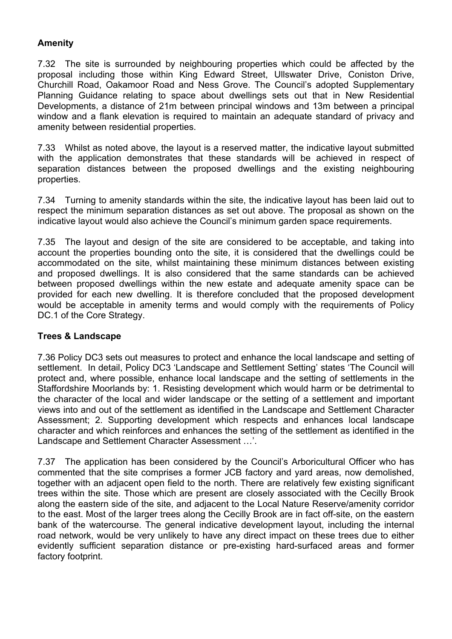## **Amenity**

7.32 The site is surrounded by neighbouring properties which could be affected by the proposal including those within King Edward Street, Ullswater Drive, Coniston Drive, Churchill Road, Oakamoor Road and Ness Grove. The Council's adopted Supplementary Planning Guidance relating to space about dwellings sets out that in New Residential Developments, a distance of 21m between principal windows and 13m between a principal window and a flank elevation is required to maintain an adequate standard of privacy and amenity between residential properties.

7.33 Whilst as noted above, the layout is a reserved matter, the indicative layout submitted with the application demonstrates that these standards will be achieved in respect of separation distances between the proposed dwellings and the existing neighbouring properties.

7.34 Turning to amenity standards within the site, the indicative layout has been laid out to respect the minimum separation distances as set out above. The proposal as shown on the indicative layout would also achieve the Council's minimum garden space requirements.

7.35 The layout and design of the site are considered to be acceptable, and taking into account the properties bounding onto the site, it is considered that the dwellings could be accommodated on the site, whilst maintaining these minimum distances between existing and proposed dwellings. It is also considered that the same standards can be achieved between proposed dwellings within the new estate and adequate amenity space can be provided for each new dwelling. It is therefore concluded that the proposed development would be acceptable in amenity terms and would comply with the requirements of Policy DC.1 of the Core Strategy.

### **Trees & Landscape**

7.36 Policy DC3 sets out measures to protect and enhance the local landscape and setting of settlement. In detail, Policy DC3 'Landscape and Settlement Setting' states 'The Council will protect and, where possible, enhance local landscape and the setting of settlements in the Staffordshire Moorlands by: 1. Resisting development which would harm or be detrimental to the character of the local and wider landscape or the setting of a settlement and important views into and out of the settlement as identified in the Landscape and Settlement Character Assessment; 2. Supporting development which respects and enhances local landscape character and which reinforces and enhances the setting of the settlement as identified in the Landscape and Settlement Character Assessment …'.

7.37 The application has been considered by the Council's Arboricultural Officer who has commented that the site comprises a former JCB factory and yard areas, now demolished, together with an adjacent open field to the north. There are relatively few existing significant trees within the site. Those which are present are closely associated with the Cecilly Brook along the eastern side of the site, and adjacent to the Local Nature Reserve/amenity corridor to the east. Most of the larger trees along the Cecilly Brook are in fact off-site, on the eastern bank of the watercourse. The general indicative development layout, including the internal road network, would be very unlikely to have any direct impact on these trees due to either evidently sufficient separation distance or pre-existing hard-surfaced areas and former factory footprint.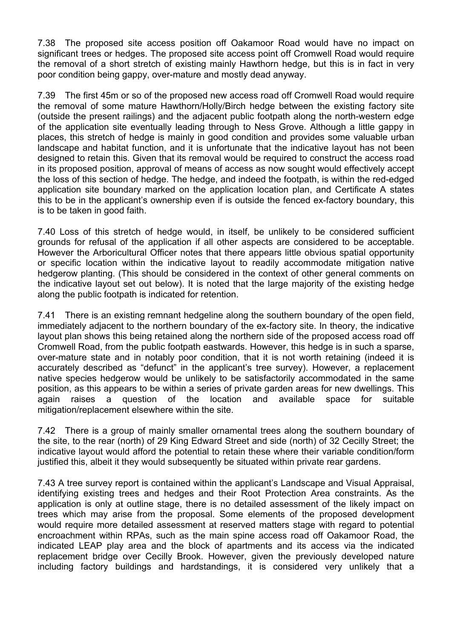7.38 The proposed site access position off Oakamoor Road would have no impact on significant trees or hedges. The proposed site access point off Cromwell Road would require the removal of a short stretch of existing mainly Hawthorn hedge, but this is in fact in very poor condition being gappy, over-mature and mostly dead anyway.

7.39 The first 45m or so of the proposed new access road off Cromwell Road would require the removal of some mature Hawthorn/Holly/Birch hedge between the existing factory site (outside the present railings) and the adjacent public footpath along the north-western edge of the application site eventually leading through to Ness Grove. Although a little gappy in places, this stretch of hedge is mainly in good condition and provides some valuable urban landscape and habitat function, and it is unfortunate that the indicative layout has not been designed to retain this. Given that its removal would be required to construct the access road in its proposed position, approval of means of access as now sought would effectively accept the loss of this section of hedge. The hedge, and indeed the footpath, is within the red-edged application site boundary marked on the application location plan, and Certificate A states this to be in the applicant's ownership even if is outside the fenced ex-factory boundary, this is to be taken in good faith.

7.40 Loss of this stretch of hedge would, in itself, be unlikely to be considered sufficient grounds for refusal of the application if all other aspects are considered to be acceptable. However the Arboricultural Officer notes that there appears little obvious spatial opportunity or specific location within the indicative layout to readily accommodate mitigation native hedgerow planting. (This should be considered in the context of other general comments on the indicative layout set out below). It is noted that the large majority of the existing hedge along the public footpath is indicated for retention.

7.41 There is an existing remnant hedgeline along the southern boundary of the open field, immediately adjacent to the northern boundary of the ex-factory site. In theory, the indicative layout plan shows this being retained along the northern side of the proposed access road off Cromwell Road, from the public footpath eastwards. However, this hedge is in such a sparse, over-mature state and in notably poor condition, that it is not worth retaining (indeed it is accurately described as "defunct" in the applicant's tree survey). However, a replacement native species hedgerow would be unlikely to be satisfactorily accommodated in the same position, as this appears to be within a series of private garden areas for new dwellings. This again raises a question of the location and available space for suitable mitigation/replacement elsewhere within the site.

7.42 There is a group of mainly smaller ornamental trees along the southern boundary of the site, to the rear (north) of 29 King Edward Street and side (north) of 32 Cecilly Street; the indicative layout would afford the potential to retain these where their variable condition/form justified this, albeit it they would subsequently be situated within private rear gardens.

7.43 A tree survey report is contained within the applicant's Landscape and Visual Appraisal, identifying existing trees and hedges and their Root Protection Area constraints. As the application is only at outline stage, there is no detailed assessment of the likely impact on trees which may arise from the proposal. Some elements of the proposed development would require more detailed assessment at reserved matters stage with regard to potential encroachment within RPAs, such as the main spine access road off Oakamoor Road, the indicated LEAP play area and the block of apartments and its access via the indicated replacement bridge over Cecilly Brook. However, given the previously developed nature including factory buildings and hardstandings, it is considered very unlikely that a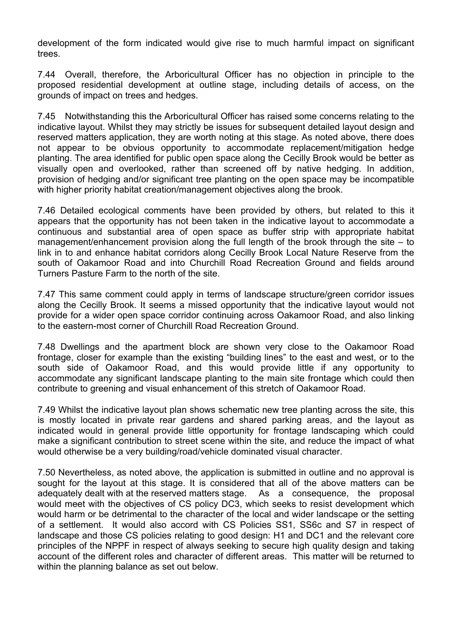development of the form indicated would give rise to much harmful impact on significant trees.

7.44 Overall, therefore, the Arboricultural Officer has no objection in principle to the proposed residential development at outline stage, including details of access, on the grounds of impact on trees and hedges.

7.45 Notwithstanding this the Arboricultural Officer has raised some concerns relating to the indicative layout. Whilst they may strictly be issues for subsequent detailed layout design and reserved matters application, they are worth noting at this stage. As noted above, there does not appear to be obvious opportunity to accommodate replacement/mitigation hedge planting. The area identified for public open space along the Cecilly Brook would be better as visually open and overlooked, rather than screened off by native hedging. In addition, provision of hedging and/or significant tree planting on the open space may be incompatible with higher priority habitat creation/management objectives along the brook.

7.46 Detailed ecological comments have been provided by others, but related to this it appears that the opportunity has not been taken in the indicative layout to accommodate a continuous and substantial area of open space as buffer strip with appropriate habitat management/enhancement provision along the full length of the brook through the site – to link in to and enhance habitat corridors along Cecilly Brook Local Nature Reserve from the south of Oakamoor Road and into Churchill Road Recreation Ground and fields around Turners Pasture Farm to the north of the site.

7.47 This same comment could apply in terms of landscape structure/green corridor issues along the Cecilly Brook. It seems a missed opportunity that the indicative layout would not provide for a wider open space corridor continuing across Oakamoor Road, and also linking to the eastern-most corner of Churchill Road Recreation Ground.

7.48 Dwellings and the apartment block are shown very close to the Oakamoor Road frontage, closer for example than the existing "building lines" to the east and west, or to the south side of Oakamoor Road, and this would provide little if any opportunity to accommodate any significant landscape planting to the main site frontage which could then contribute to greening and visual enhancement of this stretch of Oakamoor Road.

7.49 Whilst the indicative layout plan shows schematic new tree planting across the site, this is mostly located in private rear gardens and shared parking areas, and the layout as indicated would in general provide little opportunity for frontage landscaping which could make a significant contribution to street scene within the site, and reduce the impact of what would otherwise be a very building/road/vehicle dominated visual character.

7.50 Nevertheless, as noted above, the application is submitted in outline and no approval is sought for the layout at this stage. It is considered that all of the above matters can be adequately dealt with at the reserved matters stage. As a consequence, the proposal would meet with the objectives of CS policy DC3, which seeks to resist development which would harm or be detrimental to the character of the local and wider landscape or the setting of a settlement. It would also accord with CS Policies SS1, SS6c and S7 in respect of landscape and those CS policies relating to good design: H1 and DC1 and the relevant core principles of the NPPF in respect of always seeking to secure high quality design and taking account of the different roles and character of different areas. This matter will be returned to within the planning balance as set out below.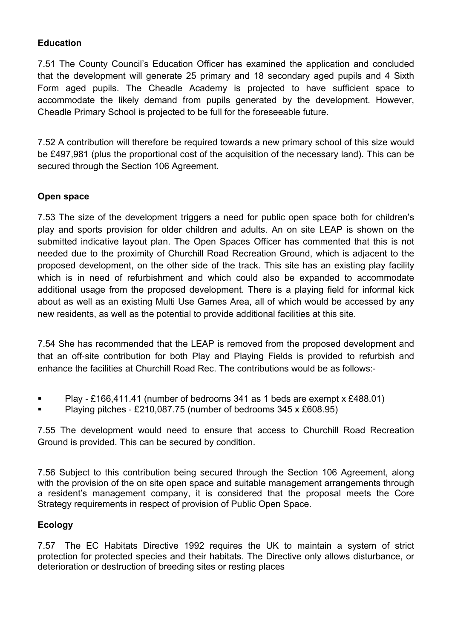## **Education**

7.51 The County Council's Education Officer has examined the application and concluded that the development will generate 25 primary and 18 secondary aged pupils and 4 Sixth Form aged pupils. The Cheadle Academy is projected to have sufficient space to accommodate the likely demand from pupils generated by the development. However, Cheadle Primary School is projected to be full for the foreseeable future.

7.52 A contribution will therefore be required towards a new primary school of this size would be £497,981 (plus the proportional cost of the acquisition of the necessary land). This can be secured through the Section 106 Agreement.

# **Open space**

7.53 The size of the development triggers a need for public open space both for children's play and sports provision for older children and adults. An on site LEAP is shown on the submitted indicative layout plan. The Open Spaces Officer has commented that this is not needed due to the proximity of Churchill Road Recreation Ground, which is adjacent to the proposed development, on the other side of the track. This site has an existing play facility which is in need of refurbishment and which could also be expanded to accommodate additional usage from the proposed development. There is a playing field for informal kick about as well as an existing Multi Use Games Area, all of which would be accessed by any new residents, as well as the potential to provide additional facilities at this site.

7.54 She has recommended that the LEAP is removed from the proposed development and that an off‐site contribution for both Play and Playing Fields is provided to refurbish and enhance the facilities at Churchill Road Rec. The contributions would be as follows:‐

- Play £166,411.41 (number of bedrooms 341 as 1 beds are exempt x £488.01)
- Playing pitches ‐ £210,087.75 (number of bedrooms 345 x £608.95)

7.55 The development would need to ensure that access to Churchill Road Recreation Ground is provided. This can be secured by condition.

7.56 Subject to this contribution being secured through the Section 106 Agreement, along with the provision of the on site open space and suitable management arrangements through a resident's management company, it is considered that the proposal meets the Core Strategy requirements in respect of provision of Public Open Space.

# **Ecology**

7.57 The EC Habitats Directive 1992 requires the UK to maintain a system of strict protection for protected species and their habitats. The Directive only allows disturbance, or deterioration or destruction of breeding sites or resting places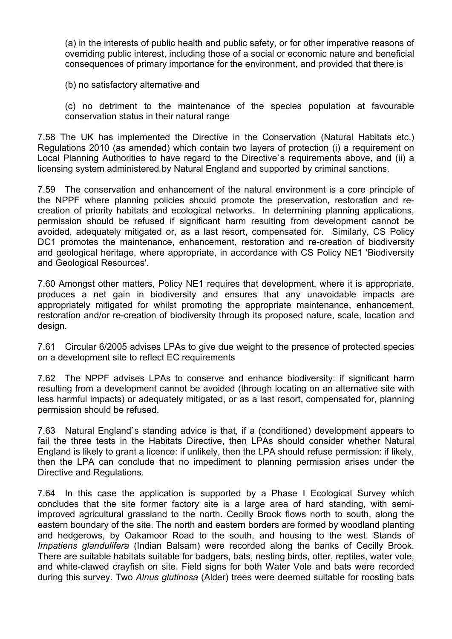(a) in the interests of public health and public safety, or for other imperative reasons of overriding public interest, including those of a social or economic nature and beneficial consequences of primary importance for the environment, and provided that there is

(b) no satisfactory alternative and

(c) no detriment to the maintenance of the species population at favourable conservation status in their natural range

7.58 The UK has implemented the Directive in the Conservation (Natural Habitats etc.) Regulations 2010 (as amended) which contain two layers of protection (i) a requirement on Local Planning Authorities to have regard to the Directive`s requirements above, and (ii) a licensing system administered by Natural England and supported by criminal sanctions.

7.59 The conservation and enhancement of the natural environment is a core principle of the NPPF where planning policies should promote the preservation, restoration and recreation of priority habitats and ecological networks. In determining planning applications, permission should be refused if significant harm resulting from development cannot be avoided, adequately mitigated or, as a last resort, compensated for. Similarly, CS Policy DC1 promotes the maintenance, enhancement, restoration and re-creation of biodiversity and geological heritage, where appropriate, in accordance with CS Policy NE1 'Biodiversity and Geological Resources'.

7.60 Amongst other matters, Policy NE1 requires that development, where it is appropriate, produces a net gain in biodiversity and ensures that any unavoidable impacts are appropriately mitigated for whilst promoting the appropriate maintenance, enhancement, restoration and/or re-creation of biodiversity through its proposed nature, scale, location and design.

7.61 Circular 6/2005 advises LPAs to give due weight to the presence of protected species on a development site to reflect EC requirements

7.62 The NPPF advises LPAs to conserve and enhance biodiversity: if significant harm resulting from a development cannot be avoided (through locating on an alternative site with less harmful impacts) or adequately mitigated, or as a last resort, compensated for, planning permission should be refused.

7.63 Natural England`s standing advice is that, if a (conditioned) development appears to fail the three tests in the Habitats Directive, then LPAs should consider whether Natural England is likely to grant a licence: if unlikely, then the LPA should refuse permission: if likely, then the LPA can conclude that no impediment to planning permission arises under the Directive and Regulations.

7.64 In this case the application is supported by a Phase I Ecological Survey which concludes that the site former factory site is a large area of hard standing, with semiimproved agricultural grassland to the north. Cecilly Brook flows north to south, along the eastern boundary of the site. The north and eastern borders are formed by woodland planting and hedgerows, by Oakamoor Road to the south, and housing to the west. Stands of *Impatiens glandulifera* (Indian Balsam) were recorded along the banks of Cecilly Brook. There are suitable habitats suitable for badgers, bats, nesting birds, otter, reptiles, water vole, and white-clawed crayfish on site. Field signs for both Water Vole and bats were recorded during this survey. Two *Alnus glutinosa* (Alder) trees were deemed suitable for roosting bats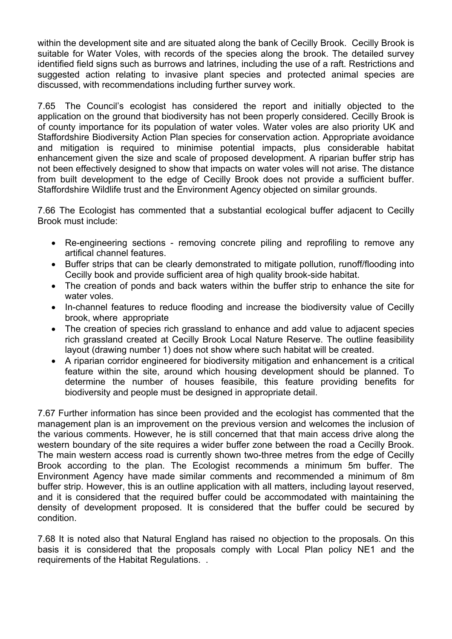within the development site and are situated along the bank of Cecilly Brook. Cecilly Brook is suitable for Water Voles, with records of the species along the brook. The detailed survey identified field signs such as burrows and latrines, including the use of a raft. Restrictions and suggested action relating to invasive plant species and protected animal species are discussed, with recommendations including further survey work.

7.65 The Council's ecologist has considered the report and initially objected to the application on the ground that biodiversity has not been properly considered. Cecilly Brook is of county importance for its population of water voles. Water voles are also priority UK and Staffordshire Biodiversity Action Plan species for conservation action. Appropriate avoidance and mitigation is required to minimise potential impacts, plus considerable habitat enhancement given the size and scale of proposed development. A riparian buffer strip has not been effectively designed to show that impacts on water voles will not arise. The distance from built development to the edge of Cecilly Brook does not provide a sufficient buffer. Staffordshire Wildlife trust and the Environment Agency objected on similar grounds.

7.66 The Ecologist has commented that a substantial ecological buffer adjacent to Cecilly Brook must include:

- Re-engineering sections removing concrete piling and reprofiling to remove any artifical channel features.
- Buffer strips that can be clearly demonstrated to mitigate pollution, runoff/flooding into Cecilly book and provide sufficient area of high quality brook-side habitat.
- The creation of ponds and back waters within the buffer strip to enhance the site for water voles.
- In-channel features to reduce flooding and increase the biodiversity value of Cecilly brook, where appropriate
- The creation of species rich grassland to enhance and add value to adjacent species rich grassland created at Cecilly Brook Local Nature Reserve. The outline feasibility layout (drawing number 1) does not show where such habitat will be created.
- A riparian corridor engineered for biodiversity mitigation and enhancement is a critical feature within the site, around which housing development should be planned. To determine the number of houses feasibile, this feature providing benefits for biodiversity and people must be designed in appropriate detail.

7.67 Further information has since been provided and the ecologist has commented that the management plan is an improvement on the previous version and welcomes the inclusion of the various comments. However, he is still concerned that that main access drive along the western boundary of the site requires a wider buffer zone between the road a Cecilly Brook. The main western access road is currently shown two-three metres from the edge of Cecilly Brook according to the plan. The Ecologist recommends a minimum 5m buffer. The Environment Agency have made similar comments and recommended a minimum of 8m buffer strip. However, this is an outline application with all matters, including layout reserved, and it is considered that the required buffer could be accommodated with maintaining the density of development proposed. It is considered that the buffer could be secured by condition.

7.68 It is noted also that Natural England has raised no objection to the proposals. On this basis it is considered that the proposals comply with Local Plan policy NE1 and the requirements of the Habitat Regulations. .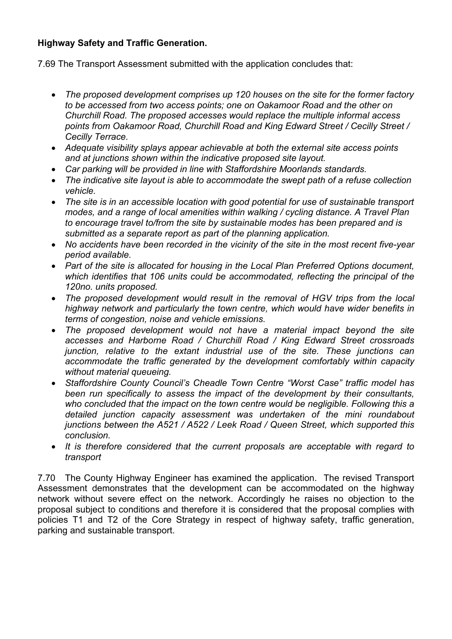# **Highway Safety and Traffic Generation.**

7.69 The Transport Assessment submitted with the application concludes that:

- *The proposed development comprises up 120 houses on the site for the former factory to be accessed from two access points; one on Oakamoor Road and the other on Churchill Road. The proposed accesses would replace the multiple informal access points from Oakamoor Road, Churchill Road and King Edward Street / Cecilly Street / Cecilly Terrace.*
- *Adequate visibility splays appear achievable at both the external site access points and at junctions shown within the indicative proposed site layout.*
- *Car parking will be provided in line with Staffordshire Moorlands standards.*
- *The indicative site layout is able to accommodate the swept path of a refuse collection vehicle.*
- *The site is in an accessible location with good potential for use of sustainable transport modes, and a range of local amenities within walking / cycling distance. A Travel Plan to encourage travel to/from the site by sustainable modes has been prepared and is submitted as a separate report as part of the planning application.*
- *No accidents have been recorded in the vicinity of the site in the most recent five-year period available.*
- *Part of the site is allocated for housing in the Local Plan Preferred Options document, which identifies that 106 units could be accommodated, reflecting the principal of the 120no. units proposed.*
- *The proposed development would result in the removal of HGV trips from the local highway network and particularly the town centre, which would have wider benefits in terms of congestion, noise and vehicle emissions.*
- *The proposed development would not have a material impact beyond the site accesses and Harborne Road / Churchill Road / King Edward Street crossroads junction, relative to the extant industrial use of the site. These junctions can accommodate the traffic generated by the development comfortably within capacity without material queueing.*
- *Staffordshire County Council's Cheadle Town Centre "Worst Case" traffic model has been run specifically to assess the impact of the development by their consultants, who concluded that the impact on the town centre would be negligible. Following this a detailed junction capacity assessment was undertaken of the mini roundabout junctions between the A521 / A522 / Leek Road / Queen Street, which supported this conclusion.*
- *It is therefore considered that the current proposals are acceptable with regard to transport*

7.70 The County Highway Engineer has examined the application. The revised Transport Assessment demonstrates that the development can be accommodated on the highway network without severe effect on the network. Accordingly he raises no objection to the proposal subject to conditions and therefore it is considered that the proposal complies with policies T1 and T2 of the Core Strategy in respect of highway safety, traffic generation, parking and sustainable transport.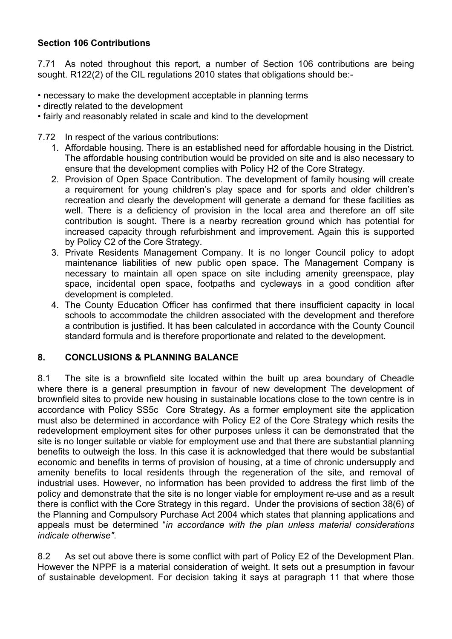# **Section 106 Contributions**

7.71 As noted throughout this report, a number of Section 106 contributions are being sought. R122(2) of the CIL regulations 2010 states that obligations should be:-

- necessary to make the development acceptable in planning terms
- directly related to the development
- fairly and reasonably related in scale and kind to the development
- 7.72 In respect of the various contributions:
	- 1. Affordable housing. There is an established need for affordable housing in the District. The affordable housing contribution would be provided on site and is also necessary to ensure that the development complies with Policy H2 of the Core Strategy.
	- 2. Provision of Open Space Contribution. The development of family housing will create a requirement for young children's play space and for sports and older children's recreation and clearly the development will generate a demand for these facilities as well. There is a deficiency of provision in the local area and therefore an off site contribution is sought. There is a nearby recreation ground which has potential for increased capacity through refurbishment and improvement. Again this is supported by Policy C2 of the Core Strategy.
	- 3. Private Residents Management Company. It is no longer Council policy to adopt maintenance liabilities of new public open space. The Management Company is necessary to maintain all open space on site including amenity greenspace, play space, incidental open space, footpaths and cycleways in a good condition after development is completed.
	- 4. The County Education Officer has confirmed that there insufficient capacity in local schools to accommodate the children associated with the development and therefore a contribution is justified. It has been calculated in accordance with the County Council standard formula and is therefore proportionate and related to the development.

### **8. CONCLUSIONS & PLANNING BALANCE**

8.1 The site is a brownfield site located within the built up area boundary of Cheadle where there is a general presumption in favour of new development The development of brownfield sites to provide new housing in sustainable locations close to the town centre is in accordance with Policy SS5c Core Strategy. As a former employment site the application must also be determined in accordance with Policy E2 of the Core Strategy which resits the redevelopment employment sites for other purposes unless it can be demonstrated that the site is no longer suitable or viable for employment use and that there are substantial planning benefits to outweigh the loss. In this case it is acknowledged that there would be substantial economic and benefits in terms of provision of housing, at a time of chronic undersupply and amenity benefits to local residents through the regeneration of the site, and removal of industrial uses. However, no information has been provided to address the first limb of the policy and demonstrate that the site is no longer viable for employment re-use and as a result there is conflict with the Core Strategy in this regard. Under the provisions of section 38(6) of the Planning and Compulsory Purchase Act 2004 which states that planning applications and appeals must be determined "*in accordance with the plan unless material considerations indicate otherwise"*.

8.2 As set out above there is some conflict with part of Policy E2 of the Development Plan. However the NPPF is a material consideration of weight. It sets out a presumption in favour of sustainable development. For decision taking it says at paragraph 11 that where those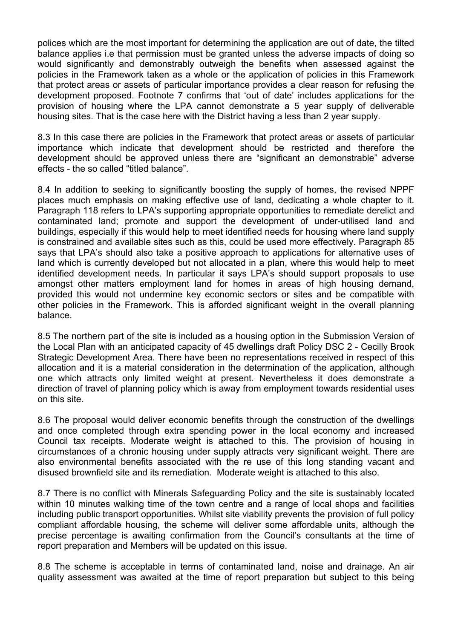polices which are the most important for determining the application are out of date, the tilted balance applies i.e that permission must be granted unless the adverse impacts of doing so would significantly and demonstrably outweigh the benefits when assessed against the policies in the Framework taken as a whole or the application of policies in this Framework that protect areas or assets of particular importance provides a clear reason for refusing the development proposed. Footnote 7 confirms that 'out of date' includes applications for the provision of housing where the LPA cannot demonstrate a 5 year supply of deliverable housing sites. That is the case here with the District having a less than 2 year supply.

8.3 In this case there are policies in the Framework that protect areas or assets of particular importance which indicate that development should be restricted and therefore the development should be approved unless there are "significant an demonstrable" adverse effects - the so called "titled balance".

8.4 In addition to seeking to significantly boosting the supply of homes, the revised NPPF places much emphasis on making effective use of land, dedicating a whole chapter to it. Paragraph 118 refers to LPA's supporting appropriate opportunities to remediate derelict and contaminated land; promote and support the development of under-utilised land and buildings, especially if this would help to meet identified needs for housing where land supply is constrained and available sites such as this, could be used more effectively. Paragraph 85 says that LPA's should also take a positive approach to applications for alternative uses of land which is currently developed but not allocated in a plan, where this would help to meet identified development needs. In particular it says LPA's should support proposals to use amongst other matters employment land for homes in areas of high housing demand, provided this would not undermine key economic sectors or sites and be compatible with other policies in the Framework. This is afforded significant weight in the overall planning balance.

8.5 The northern part of the site is included as a housing option in the Submission Version of the Local Plan with an anticipated capacity of 45 dwellings draft Policy DSC 2 - Cecilly Brook Strategic Development Area. There have been no representations received in respect of this allocation and it is a material consideration in the determination of the application, although one which attracts only limited weight at present. Nevertheless it does demonstrate a direction of travel of planning policy which is away from employment towards residential uses on this site.

8.6 The proposal would deliver economic benefits through the construction of the dwellings and once completed through extra spending power in the local economy and increased Council tax receipts. Moderate weight is attached to this. The provision of housing in circumstances of a chronic housing under supply attracts very significant weight. There are also environmental benefits associated with the re use of this long standing vacant and disused brownfield site and its remediation. Moderate weight is attached to this also.

8.7 There is no conflict with Minerals Safeguarding Policy and the site is sustainably located within 10 minutes walking time of the town centre and a range of local shops and facilities including public transport opportunities. Whilst site viability prevents the provision of full policy compliant affordable housing, the scheme will deliver some affordable units, although the precise percentage is awaiting confirmation from the Council's consultants at the time of report preparation and Members will be updated on this issue.

8.8 The scheme is acceptable in terms of contaminated land, noise and drainage. An air quality assessment was awaited at the time of report preparation but subject to this being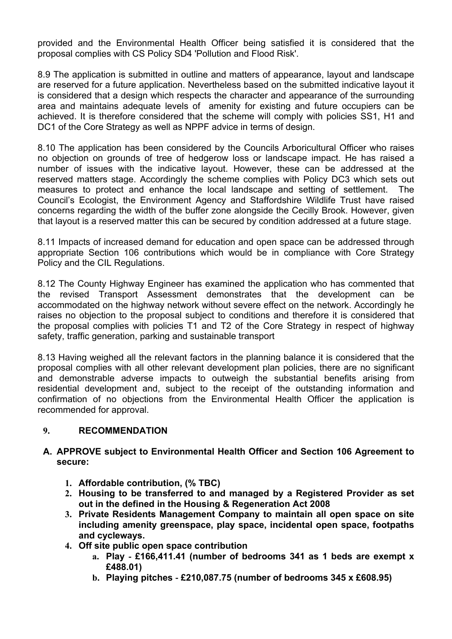provided and the Environmental Health Officer being satisfied it is considered that the proposal complies with CS Policy SD4 'Pollution and Flood Risk'.

8.9 The application is submitted in outline and matters of appearance, layout and landscape are reserved for a future application. Nevertheless based on the submitted indicative layout it is considered that a design which respects the character and appearance of the surrounding area and maintains adequate levels of amenity for existing and future occupiers can be achieved. It is therefore considered that the scheme will comply with policies SS1, H1 and DC1 of the Core Strategy as well as NPPF advice in terms of design.

8.10 The application has been considered by the Councils Arboricultural Officer who raises no objection on grounds of tree of hedgerow loss or landscape impact. He has raised a number of issues with the indicative layout. However, these can be addressed at the reserved matters stage. Accordingly the scheme complies with Policy DC3 which sets out measures to protect and enhance the local landscape and setting of settlement. The Council's Ecologist, the Environment Agency and Staffordshire Wildlife Trust have raised concerns regarding the width of the buffer zone alongside the Cecilly Brook. However, given that layout is a reserved matter this can be secured by condition addressed at a future stage.

8.11 Impacts of increased demand for education and open space can be addressed through appropriate Section 106 contributions which would be in compliance with Core Strategy Policy and the CIL Regulations.

8.12 The County Highway Engineer has examined the application who has commented that the revised Transport Assessment demonstrates that the development can be accommodated on the highway network without severe effect on the network. Accordingly he raises no objection to the proposal subject to conditions and therefore it is considered that the proposal complies with policies T1 and T2 of the Core Strategy in respect of highway safety, traffic generation, parking and sustainable transport

8.13 Having weighed all the relevant factors in the planning balance it is considered that the proposal complies with all other relevant development plan policies, there are no significant and demonstrable adverse impacts to outweigh the substantial benefits arising from residential development and, subject to the receipt of the outstanding information and confirmation of no objections from the Environmental Health Officer the application is recommended for approval.

### **9. RECOMMENDATION**

#### **A. APPROVE subject to Environmental Health Officer and Section 106 Agreement to secure:**

- **1. Affordable contribution, (% TBC)**
- **2. Housing to be transferred to and managed by a Registered Provider as set out in the defined in the Housing & Regeneration Act 2008**
- **3. Private Residents Management Company to maintain all open space on site including amenity greenspace, play space, incidental open space, footpaths and cycleways.**
- **4. Off site public open space contribution**
	- **a. Play ‐ £166,411.41 (number of bedrooms 341 as 1 beds are exempt x £488.01)**
	- **b. Playing pitches ‐ £210,087.75 (number of bedrooms 345 x £608.95)**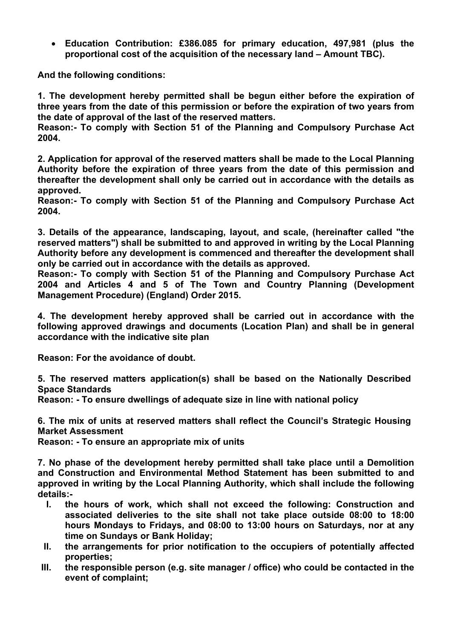**Education Contribution: £386.085 for primary education, 497,981 (plus the proportional cost of the acquisition of the necessary land – Amount TBC).**

**And the following conditions:**

**1. The development hereby permitted shall be begun either before the expiration of three years from the date of this permission or before the expiration of two years from the date of approval of the last of the reserved matters.**

**Reason:- To comply with Section 51 of the Planning and Compulsory Purchase Act 2004.**

**2. Application for approval of the reserved matters shall be made to the Local Planning Authority before the expiration of three years from the date of this permission and thereafter the development shall only be carried out in accordance with the details as approved.**

**Reason:- To comply with Section 51 of the Planning and Compulsory Purchase Act 2004.**

**3. Details of the appearance, landscaping, layout, and scale, (hereinafter called "the reserved matters") shall be submitted to and approved in writing by the Local Planning Authority before any development is commenced and thereafter the development shall only be carried out in accordance with the details as approved.**

**Reason:- To comply with Section 51 of the Planning and Compulsory Purchase Act 2004 and Articles 4 and 5 of The Town and Country Planning (Development Management Procedure) (England) Order 2015.**

**4. The development hereby approved shall be carried out in accordance with the following approved drawings and documents (Location Plan) and shall be in general accordance with the indicative site plan**

**Reason: For the avoidance of doubt.**

**5. The reserved matters application(s) shall be based on the Nationally Described Space Standards** 

**Reason: - To ensure dwellings of adequate size in line with national policy**

**6. The mix of units at reserved matters shall reflect the Council's Strategic Housing Market Assessment**

**Reason: - To ensure an appropriate mix of units**

**7. No phase of the development hereby permitted shall take place until a Demolition and Construction and Environmental Method Statement has been submitted to and approved in writing by the Local Planning Authority, which shall include the following details:-**

- **I. the hours of work, which shall not exceed the following: Construction and associated deliveries to the site shall not take place outside 08:00 to 18:00 hours Mondays to Fridays, and 08:00 to 13:00 hours on Saturdays, nor at any time on Sundays or Bank Holiday;**
- **II. the arrangements for prior notification to the occupiers of potentially affected properties;**
- **III. the responsible person (e.g. site manager / office) who could be contacted in the event of complaint;**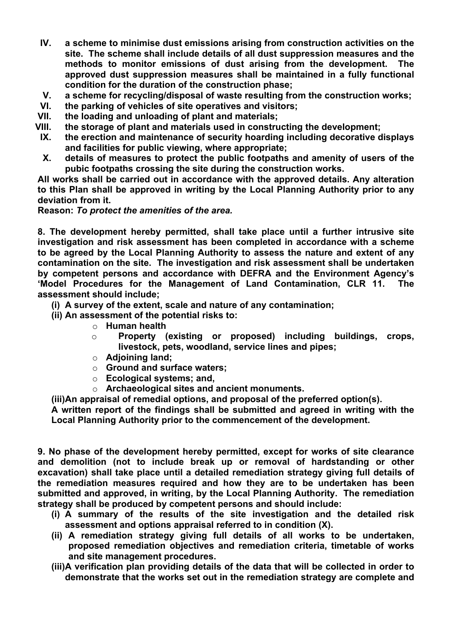- **IV. a scheme to minimise dust emissions arising from construction activities on the site. The scheme shall include details of all dust suppression measures and the methods to monitor emissions of dust arising from the development. The approved dust suppression measures shall be maintained in a fully functional condition for the duration of the construction phase;**
- **V. a scheme for recycling/disposal of waste resulting from the construction works;**
- **VI. the parking of vehicles of site operatives and visitors;**
- **VII. the loading and unloading of plant and materials;**
- **VIII. the storage of plant and materials used in constructing the development;**
- **IX. the erection and maintenance of security hoarding including decorative displays and facilities for public viewing, where appropriate;**
- **X. details of measures to protect the public footpaths and amenity of users of the pubic footpaths crossing the site during the construction works.**

**All works shall be carried out in accordance with the approved details. Any alteration to this Plan shall be approved in writing by the Local Planning Authority prior to any deviation from it.**

**Reason:** *To protect the amenities of the area.*

**8. The development hereby permitted, shall take place until a further intrusive site investigation and risk assessment has been completed in accordance with a scheme to be agreed by the Local Planning Authority to assess the nature and extent of any contamination on the site. The investigation and risk assessment shall be undertaken by competent persons and accordance with DEFRA and the Environment Agency's 'Model Procedures for the Management of Land Contamination, CLR 11. The assessment should include;**

**(i) A survey of the extent, scale and nature of any contamination;**

- **(ii) An assessment of the potential risks to:**
	- o **Human health**
	- o **Property (existing or proposed) including buildings, crops, livestock, pets, woodland, service lines and pipes;**
	- o **Adjoining land;**
	- o **Ground and surface waters;**
	- o **Ecological systems; and,**
	- o **Archaeological sites and ancient monuments.**

**(iii)An appraisal of remedial options, and proposal of the preferred option(s).**

**A written report of the findings shall be submitted and agreed in writing with the Local Planning Authority prior to the commencement of the development.**

**9. No phase of the development hereby permitted, except for works of site clearance and demolition (not to include break up or removal of hardstanding or other excavation) shall take place until a detailed remediation strategy giving full details of the remediation measures required and how they are to be undertaken has been submitted and approved, in writing, by the Local Planning Authority. The remediation strategy shall be produced by competent persons and should include:**

- **(i) A summary of the results of the site investigation and the detailed risk assessment and options appraisal referred to in condition (X).**
- **(ii) A remediation strategy giving full details of all works to be undertaken, proposed remediation objectives and remediation criteria, timetable of works and site management procedures.**
- **(iii)A verification plan providing details of the data that will be collected in order to demonstrate that the works set out in the remediation strategy are complete and**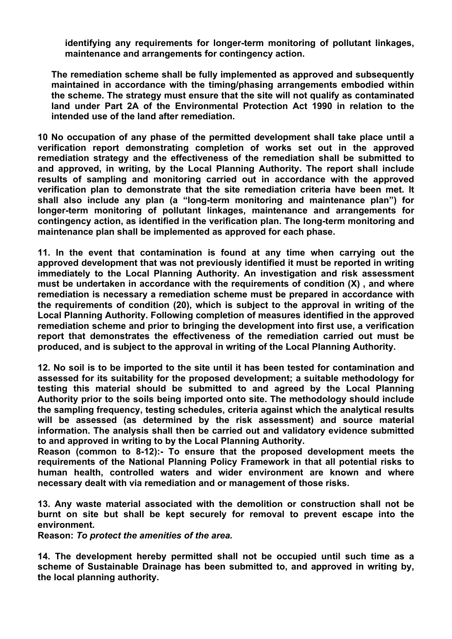**identifying any requirements for longer-term monitoring of pollutant linkages, maintenance and arrangements for contingency action.**

**The remediation scheme shall be fully implemented as approved and subsequently maintained in accordance with the timing/phasing arrangements embodied within the scheme. The strategy must ensure that the site will not qualify as contaminated land under Part 2A of the Environmental Protection Act 1990 in relation to the intended use of the land after remediation.**

**10 No occupation of any phase of the permitted development shall take place until a verification report demonstrating completion of works set out in the approved remediation strategy and the effectiveness of the remediation shall be submitted to and approved, in writing, by the Local Planning Authority. The report shall include results of sampling and monitoring carried out in accordance with the approved verification plan to demonstrate that the site remediation criteria have been met. It shall also include any plan (a "long-term monitoring and maintenance plan") for longer-term monitoring of pollutant linkages, maintenance and arrangements for contingency action, as identified in the verification plan. The long-term monitoring and maintenance plan shall be implemented as approved for each phase.**

**11. In the event that contamination is found at any time when carrying out the approved development that was not previously identified it must be reported in writing immediately to the Local Planning Authority. An investigation and risk assessment must be undertaken in accordance with the requirements of condition (X) , and where remediation is necessary a remediation scheme must be prepared in accordance with the requirements of condition (20), which is subject to the approval in writing of the Local Planning Authority. Following completion of measures identified in the approved remediation scheme and prior to bringing the development into first use, a verification report that demonstrates the effectiveness of the remediation carried out must be produced, and is subject to the approval in writing of the Local Planning Authority.**

**12. No soil is to be imported to the site until it has been tested for contamination and assessed for its suitability for the proposed development; a suitable methodology for testing this material should be submitted to and agreed by the Local Planning Authority prior to the soils being imported onto site. The methodology should include the sampling frequency, testing schedules, criteria against which the analytical results will be assessed (as determined by the risk assessment) and source material information. The analysis shall then be carried out and validatory evidence submitted to and approved in writing to by the Local Planning Authority.**

**Reason (common to 8-12):- To ensure that the proposed development meets the requirements of the National Planning Policy Framework in that all potential risks to human health, controlled waters and wider environment are known and where necessary dealt with via remediation and or management of those risks.**

**13. Any waste material associated with the demolition or construction shall not be burnt on site but shall be kept securely for removal to prevent escape into the environment.**

**Reason:** *To protect the amenities of the area.*

**14. The development hereby permitted shall not be occupied until such time as a scheme of Sustainable Drainage has been submitted to, and approved in writing by, the local planning authority.**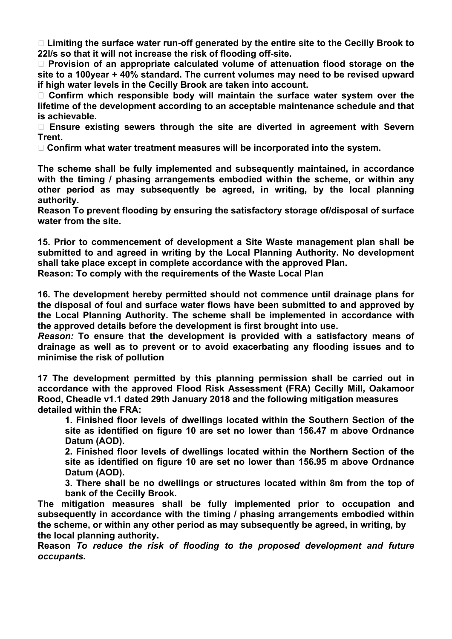**Limiting the surface water run-off generated by the entire site to the Cecilly Brook to 22l/s so that it will not increase the risk of flooding off-site.**

 **Provision of an appropriate calculated volume of attenuation flood storage on the site to a 100year + 40% standard. The current volumes may need to be revised upward if high water levels in the Cecilly Brook are taken into account.**

 **Confirm which responsible body will maintain the surface water system over the lifetime of the development according to an acceptable maintenance schedule and that is achievable.**

 **Ensure existing sewers through the site are diverted in agreement with Severn Trent.**

**Confirm what water treatment measures will be incorporated into the system.**

**The scheme shall be fully implemented and subsequently maintained, in accordance with the timing / phasing arrangements embodied within the scheme, or within any other period as may subsequently be agreed, in writing, by the local planning authority.**

**Reason To prevent flooding by ensuring the satisfactory storage of/disposal of surface water from the site.**

**15. Prior to commencement of development a Site Waste management plan shall be submitted to and agreed in writing by the Local Planning Authority. No development shall take place except in complete accordance with the approved Plan. Reason: To comply with the requirements of the Waste Local Plan**

**16. The development hereby permitted should not commence until drainage plans for the disposal of foul and surface water flows have been submitted to and approved by the Local Planning Authority. The scheme shall be implemented in accordance with the approved details before the development is first brought into use.**

*Reason:* **To ensure that the development is provided with a satisfactory means of drainage as well as to prevent or to avoid exacerbating any flooding issues and to minimise the risk of pollution**

**17 The development permitted by this planning permission shall be carried out in accordance with the approved Flood Risk Assessment (FRA) Cecilly Mill, Oakamoor Rood, Cheadle v1.1 dated 29th January 2018 and the following mitigation measures detailed within the FRA:**

**1. Finished floor levels of dwellings located within the Southern Section of the site as identified on figure 10 are set no lower than 156.47 m above Ordnance Datum (AOD).**

**2. Finished floor levels of dwellings located within the Northern Section of the site as identified on figure 10 are set no lower than 156.95 m above Ordnance Datum (AOD).**

**3. There shall be no dwellings or structures located within 8m from the top of bank of the Cecilly Brook.**

**The mitigation measures shall be fully implemented prior to occupation and subsequently in accordance with the timing / phasing arrangements embodied within the scheme, or within any other period as may subsequently be agreed, in writing, by the local planning authority.**

**Reason** *To reduce the risk of flooding to the proposed development and future occupants.*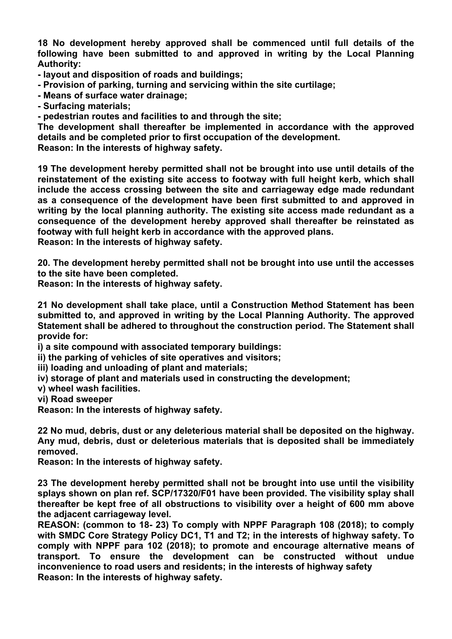**18 No development hereby approved shall be commenced until full details of the following have been submitted to and approved in writing by the Local Planning Authority:**

- **- layout and disposition of roads and buildings;**
- **- Provision of parking, turning and servicing within the site curtilage;**
- **- Means of surface water drainage;**

**- Surfacing materials;**

**- pedestrian routes and facilities to and through the site;**

**The development shall thereafter be implemented in accordance with the approved details and be completed prior to first occupation of the development.**

**Reason: In the interests of highway safety.**

**19 The development hereby permitted shall not be brought into use until details of the reinstatement of the existing site access to footway with full height kerb, which shall include the access crossing between the site and carriageway edge made redundant as a consequence of the development have been first submitted to and approved in writing by the local planning authority. The existing site access made redundant as a consequence of the development hereby approved shall thereafter be reinstated as footway with full height kerb in accordance with the approved plans. Reason: In the interests of highway safety.**

**20. The development hereby permitted shall not be brought into use until the accesses to the site have been completed.**

**Reason: In the interests of highway safety.**

**21 No development shall take place, until a Construction Method Statement has been submitted to, and approved in writing by the Local Planning Authority. The approved Statement shall be adhered to throughout the construction period. The Statement shall provide for:**

**i) a site compound with associated temporary buildings:**

**ii) the parking of vehicles of site operatives and visitors;**

**iii) loading and unloading of plant and materials;**

**iv) storage of plant and materials used in constructing the development;**

**v) wheel wash facilities.**

**vi) Road sweeper**

**Reason: In the interests of highway safety.**

**22 No mud, debris, dust or any deleterious material shall be deposited on the highway. Any mud, debris, dust or deleterious materials that is deposited shall be immediately removed.**

**Reason: In the interests of highway safety.**

**23 The development hereby permitted shall not be brought into use until the visibility splays shown on plan ref. SCP/17320/F01 have been provided. The visibility splay shall thereafter be kept free of all obstructions to visibility over a height of 600 mm above the adjacent carriageway level.**

**REASON: (common to 18- 23) To comply with NPPF Paragraph 108 (2018); to comply with SMDC Core Strategy Policy DC1, T1 and T2; in the interests of highway safety. To comply with NPPF para 102 (2018); to promote and encourage alternative means of transport. To ensure the development can be constructed without undue inconvenience to road users and residents; in the interests of highway safety Reason: In the interests of highway safety.**